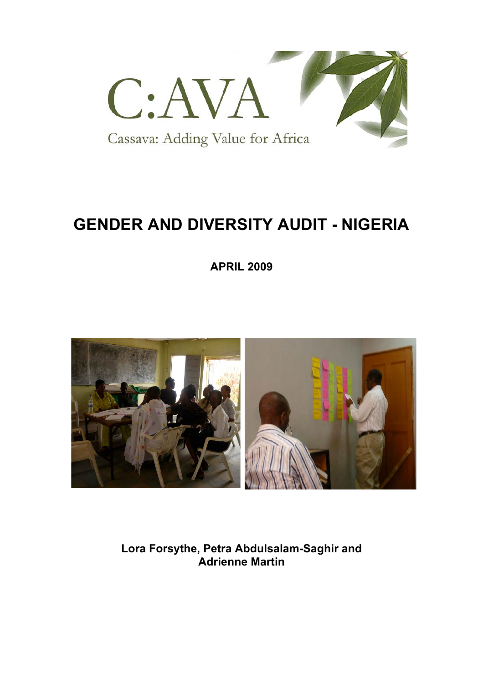

# **GENDER AND DIVERSITY AUDIT - NIGERIA**

**APRIL 2009**



**Lora Forsythe, Petra Abdulsalam-Saghir and Adrienne Martin**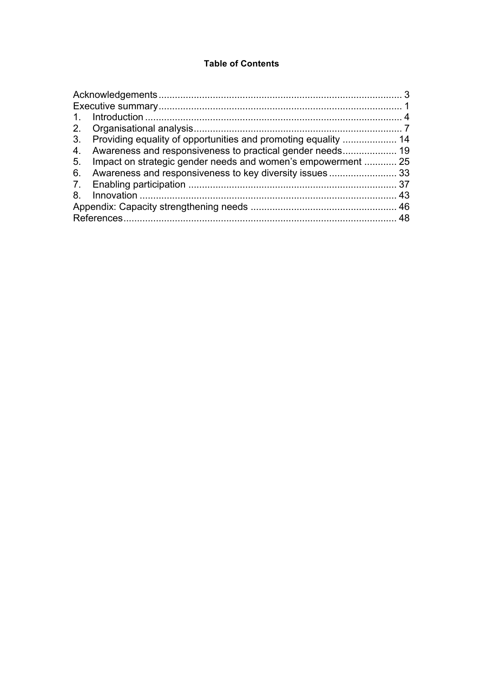### **Table of Contents**

| $\mathbf{1}$ .                                                                 |  |
|--------------------------------------------------------------------------------|--|
| 2.                                                                             |  |
| 3.<br>Providing equality of opportunities and promoting equality  14           |  |
| 4.                                                                             |  |
| Impact on strategic gender needs and women's empowerment  25<br>5 <sub>1</sub> |  |
| 6.                                                                             |  |
|                                                                                |  |
| 8.                                                                             |  |
|                                                                                |  |
|                                                                                |  |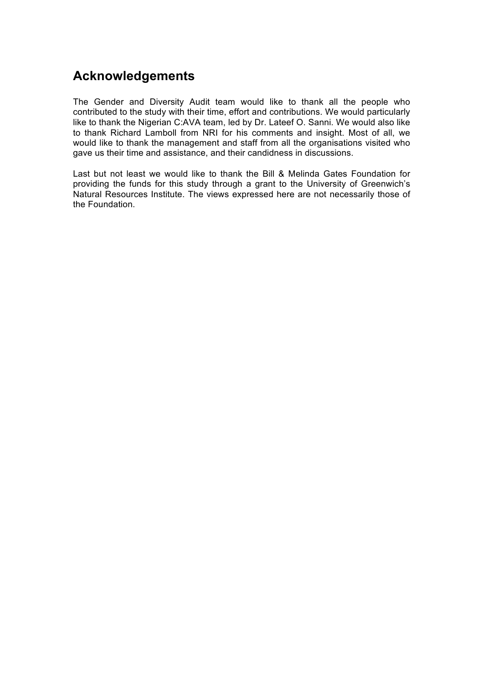## **Acknowledgements**

The Gender and Diversity Audit team would like to thank all the people who contributed to the study with their time, effort and contributions. We would particularly like to thank the Nigerian C:AVA team, led by Dr. Lateef O. Sanni. We would also like to thank Richard Lamboll from NRI for his comments and insight. Most of all, we would like to thank the management and staff from all the organisations visited who gave us their time and assistance, and their candidness in discussions.

Last but not least we would like to thank the Bill & Melinda Gates Foundation for providing the funds for this study through a grant to the University of Greenwich's Natural Resources Institute. The views expressed here are not necessarily those of the Foundation.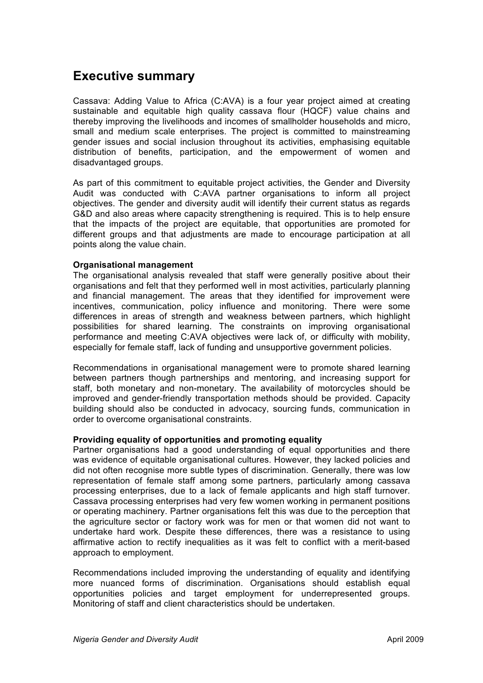## **Executive summary**

Cassava: Adding Value to Africa (C:AVA) is a four year project aimed at creating sustainable and equitable high quality cassava flour (HQCF) value chains and thereby improving the livelihoods and incomes of smallholder households and micro, small and medium scale enterprises. The project is committed to mainstreaming gender issues and social inclusion throughout its activities, emphasising equitable distribution of benefits, participation, and the empowerment of women and disadvantaged groups.

As part of this commitment to equitable project activities, the Gender and Diversity Audit was conducted with C:AVA partner organisations to inform all project objectives. The gender and diversity audit will identify their current status as regards G&D and also areas where capacity strengthening is required. This is to help ensure that the impacts of the project are equitable, that opportunities are promoted for different groups and that adjustments are made to encourage participation at all points along the value chain.

#### **Organisational management**

The organisational analysis revealed that staff were generally positive about their organisations and felt that they performed well in most activities, particularly planning and financial management. The areas that they identified for improvement were incentives, communication, policy influence and monitoring. There were some differences in areas of strength and weakness between partners, which highlight possibilities for shared learning. The constraints on improving organisational performance and meeting C:AVA objectives were lack of, or difficulty with mobility, especially for female staff, lack of funding and unsupportive government policies.

Recommendations in organisational management were to promote shared learning between partners though partnerships and mentoring, and increasing support for staff, both monetary and non-monetary. The availability of motorcycles should be improved and gender-friendly transportation methods should be provided. Capacity building should also be conducted in advocacy, sourcing funds, communication in order to overcome organisational constraints.

#### **Providing equality of opportunities and promoting equality**

Partner organisations had a good understanding of equal opportunities and there was evidence of equitable organisational cultures. However, they lacked policies and did not often recognise more subtle types of discrimination. Generally, there was low representation of female staff among some partners, particularly among cassava processing enterprises, due to a lack of female applicants and high staff turnover. Cassava processing enterprises had very few women working in permanent positions or operating machinery. Partner organisations felt this was due to the perception that the agriculture sector or factory work was for men or that women did not want to undertake hard work. Despite these differences, there was a resistance to using affirmative action to rectify inequalities as it was felt to conflict with a merit-based approach to employment.

Recommendations included improving the understanding of equality and identifying more nuanced forms of discrimination. Organisations should establish equal opportunities policies and target employment for underrepresented groups. Monitoring of staff and client characteristics should be undertaken.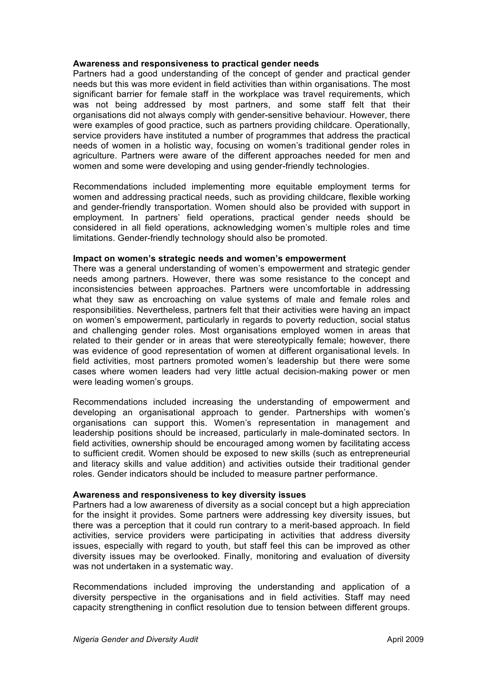#### **Awareness and responsiveness to practical gender needs**

Partners had a good understanding of the concept of gender and practical gender needs but this was more evident in field activities than within organisations. The most significant barrier for female staff in the workplace was travel requirements, which was not being addressed by most partners, and some staff felt that their organisations did not always comply with gender-sensitive behaviour. However, there were examples of good practice, such as partners providing childcare. Operationally, service providers have instituted a number of programmes that address the practical needs of women in a holistic way, focusing on women's traditional gender roles in agriculture. Partners were aware of the different approaches needed for men and women and some were developing and using gender-friendly technologies.

Recommendations included implementing more equitable employment terms for women and addressing practical needs, such as providing childcare, flexible working and gender-friendly transportation. Women should also be provided with support in employment. In partners' field operations, practical gender needs should be considered in all field operations, acknowledging women's multiple roles and time limitations. Gender-friendly technology should also be promoted.

#### **Impact on women's strategic needs and women's empowerment**

There was a general understanding of women's empowerment and strategic gender needs among partners. However, there was some resistance to the concept and inconsistencies between approaches. Partners were uncomfortable in addressing what they saw as encroaching on value systems of male and female roles and responsibilities. Nevertheless, partners felt that their activities were having an impact on women's empowerment, particularly in regards to poverty reduction, social status and challenging gender roles. Most organisations employed women in areas that related to their gender or in areas that were stereotypically female; however, there was evidence of good representation of women at different organisational levels. In field activities, most partners promoted women's leadership but there were some cases where women leaders had very little actual decision-making power or men were leading women's groups.

Recommendations included increasing the understanding of empowerment and developing an organisational approach to gender. Partnerships with women's organisations can support this. Women's representation in management and leadership positions should be increased, particularly in male-dominated sectors. In field activities, ownership should be encouraged among women by facilitating access to sufficient credit. Women should be exposed to new skills (such as entrepreneurial and literacy skills and value addition) and activities outside their traditional gender roles. Gender indicators should be included to measure partner performance.

#### **Awareness and responsiveness to key diversity issues**

Partners had a low awareness of diversity as a social concept but a high appreciation for the insight it provides. Some partners were addressing key diversity issues, but there was a perception that it could run contrary to a merit-based approach. In field activities, service providers were participating in activities that address diversity issues, especially with regard to youth, but staff feel this can be improved as other diversity issues may be overlooked. Finally, monitoring and evaluation of diversity was not undertaken in a systematic way.

Recommendations included improving the understanding and application of a diversity perspective in the organisations and in field activities. Staff may need capacity strengthening in conflict resolution due to tension between different groups.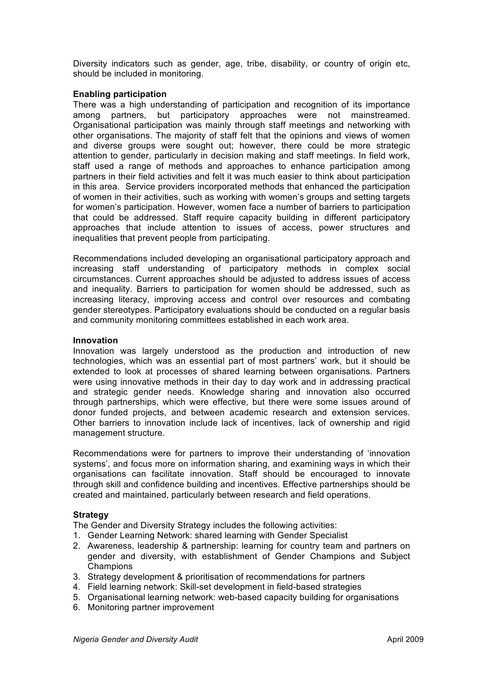Diversity indicators such as gender, age, tribe, disability, or country of origin etc, should be included in monitoring.

#### **Enabling participation**

There was a high understanding of participation and recognition of its importance among partners, but participatory approaches were not mainstreamed. Organisational participation was mainly through staff meetings and networking with other organisations. The majority of staff felt that the opinions and views of women and diverse groups were sought out; however, there could be more strategic attention to gender, particularly in decision making and staff meetings. In field work, staff used a range of methods and approaches to enhance participation among partners in their field activities and felt it was much easier to think about participation in this area. Service providers incorporated methods that enhanced the participation of women in their activities, such as working with women's groups and setting targets for women's participation. However, women face a number of barriers to participation that could be addressed. Staff require capacity building in different participatory approaches that include attention to issues of access, power structures and inequalities that prevent people from participating.

Recommendations included developing an organisational participatory approach and increasing staff understanding of participatory methods in complex social circumstances. Current approaches should be adjusted to address issues of access and inequality. Barriers to participation for women should be addressed, such as increasing literacy, improving access and control over resources and combating gender stereotypes. Participatory evaluations should be conducted on a regular basis and community monitoring committees established in each work area.

#### **Innovation**

Innovation was largely understood as the production and introduction of new technologies, which was an essential part of most partners' work, but it should be extended to look at processes of shared learning between organisations. Partners were using innovative methods in their day to day work and in addressing practical and strategic gender needs. Knowledge sharing and innovation also occurred through partnerships, which were effective, but there were some issues around of donor funded projects, and between academic research and extension services. Other barriers to innovation include lack of incentives, lack of ownership and rigid management structure.

Recommendations were for partners to improve their understanding of 'innovation systems', and focus more on information sharing, and examining ways in which their organisations can facilitate innovation. Staff should be encouraged to innovate through skill and confidence building and incentives. Effective partnerships should be created and maintained, particularly between research and field operations.

#### **Strategy**

The Gender and Diversity Strategy includes the following activities:

- 1. Gender Learning Network: shared learning with Gender Specialist
- 2. Awareness, leadership & partnership: learning for country team and partners on gender and diversity, with establishment of Gender Champions and Subject Champions
- 3. Strategy development & prioritisation of recommendations for partners
- 4. Field learning network: Skill-set development in field-based strategies
- 5. Organisational learning network: web-based capacity building for organisations
- 6. Monitoring partner improvement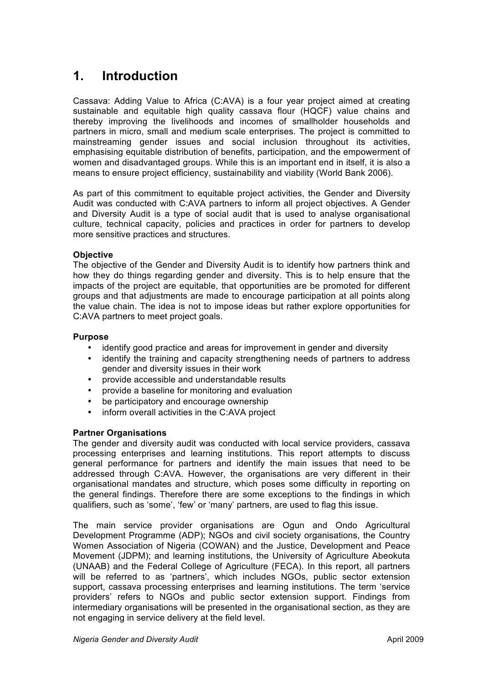## **1. Introduction**

Cassava: Adding Value to Africa (C:AVA) is a four year project aimed at creating sustainable and equitable high quality cassava flour (HQCF) value chains and thereby improving the livelihoods and incomes of smallholder households and partners in micro, small and medium scale enterprises. The project is committed to mainstreaming gender issues and social inclusion throughout its activities, emphasising equitable distribution of benefits, participation, and the empowerment of women and disadvantaged groups. While this is an important end in itself, it is also a means to ensure project efficiency, sustainability and viability (World Bank 2006).

As part of this commitment to equitable project activities, the Gender and Diversity Audit was conducted with C:AVA partners to inform all project objectives. A Gender and Diversity Audit is a type of social audit that is used to analyse organisational culture, technical capacity, policies and practices in order for partners to develop more sensitive practices and structures.

#### **Objective**

The objective of the Gender and Diversity Audit is to identify how partners think and how they do things regarding gender and diversity. This is to help ensure that the impacts of the project are equitable, that opportunities are be promoted for different groups and that adjustments are made to encourage participation at all points along the value chain. The idea is not to impose ideas but rather explore opportunities for C:AVA partners to meet project goals.

#### **Purpose**

- identify good practice and areas for improvement in gender and diversity
- identify the training and capacity strengthening needs of partners to address gender and diversity issues in their work
- provide accessible and understandable results
- provide a baseline for monitoring and evaluation
- be participatory and encourage ownership
- inform overall activities in the C:AVA project

#### **Partner Organisations**

The gender and diversity audit was conducted with local service providers, cassava processing enterprises and learning institutions. This report attempts to discuss general performance for partners and identify the main issues that need to be addressed through C:AVA. However, the organisations are very different in their organisational mandates and structure, which poses some difficulty in reporting on the general findings. Therefore there are some exceptions to the findings in which qualifiers, such as 'some', 'few' or 'many' partners, are used to flag this issue.

The main service provider organisations are Ogun and Ondo Agricultural Development Programme (ADP); NGOs and civil society organisations, the Country Women Association of Nigeria (COWAN) and the Justice, Development and Peace Movement (JDPM); and learning institutions, the University of Agriculture Abeokuta (UNAAB) and the Federal College of Agriculture (FECA). In this report, all partners will be referred to as 'partners', which includes NGOs, public sector extension support, cassava processing enterprises and learning institutions. The term 'service providers' refers to NGOs and public sector extension support. Findings from intermediary organisations will be presented in the organisational section, as they are not engaging in service delivery at the field level.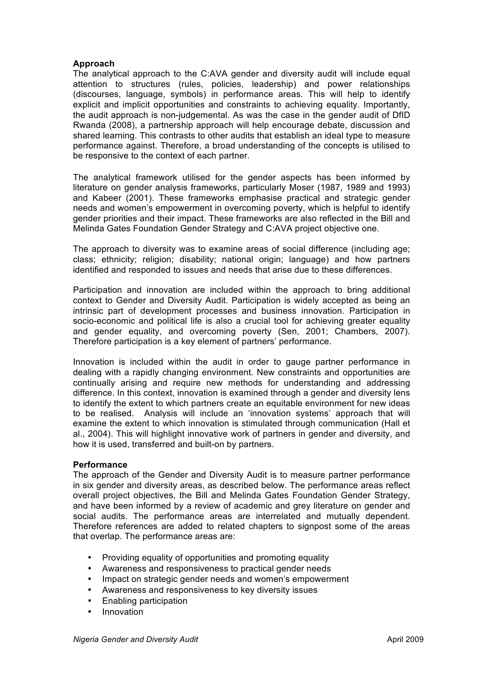#### **Approach**

The analytical approach to the C:AVA gender and diversity audit will include equal attention to structures (rules, policies, leadership) and power relationships (discourses, language, symbols) in performance areas. This will help to identify explicit and implicit opportunities and constraints to achieving equality. Importantly, the audit approach is non-judgemental. As was the case in the gender audit of DfID Rwanda (2008), a partnership approach will help encourage debate, discussion and shared learning. This contrasts to other audits that establish an ideal type to measure performance against. Therefore, a broad understanding of the concepts is utilised to be responsive to the context of each partner.

The analytical framework utilised for the gender aspects has been informed by literature on gender analysis frameworks, particularly Moser (1987, 1989 and 1993) and Kabeer (2001). These frameworks emphasise practical and strategic gender needs and women's empowerment in overcoming poverty, which is helpful to identify gender priorities and their impact. These frameworks are also reflected in the Bill and Melinda Gates Foundation Gender Strategy and C:AVA project objective one.

The approach to diversity was to examine areas of social difference (including age; class; ethnicity; religion; disability; national origin; language) and how partners identified and responded to issues and needs that arise due to these differences.

Participation and innovation are included within the approach to bring additional context to Gender and Diversity Audit. Participation is widely accepted as being an intrinsic part of development processes and business innovation. Participation in socio-economic and political life is also a crucial tool for achieving greater equality and gender equality, and overcoming poverty (Sen, 2001; Chambers, 2007). Therefore participation is a key element of partners' performance.

Innovation is included within the audit in order to gauge partner performance in dealing with a rapidly changing environment. New constraints and opportunities are continually arising and require new methods for understanding and addressing difference. In this context, innovation is examined through a gender and diversity lens to identify the extent to which partners create an equitable environment for new ideas to be realised. Analysis will include an 'innovation systems' approach that will examine the extent to which innovation is stimulated through communication (Hall et al., 2004). This will highlight innovative work of partners in gender and diversity, and how it is used, transferred and built-on by partners.

#### **Performance**

The approach of the Gender and Diversity Audit is to measure partner performance in six gender and diversity areas, as described below. The performance areas reflect overall project objectives, the Bill and Melinda Gates Foundation Gender Strategy, and have been informed by a review of academic and grey literature on gender and social audits. The performance areas are interrelated and mutually dependent. Therefore references are added to related chapters to signpost some of the areas that overlap. The performance areas are:

- Providing equality of opportunities and promoting equality
- Awareness and responsiveness to practical gender needs
- Impact on strategic gender needs and women's empowerment
- Awareness and responsiveness to key diversity issues
- Enabling participation
- Innovation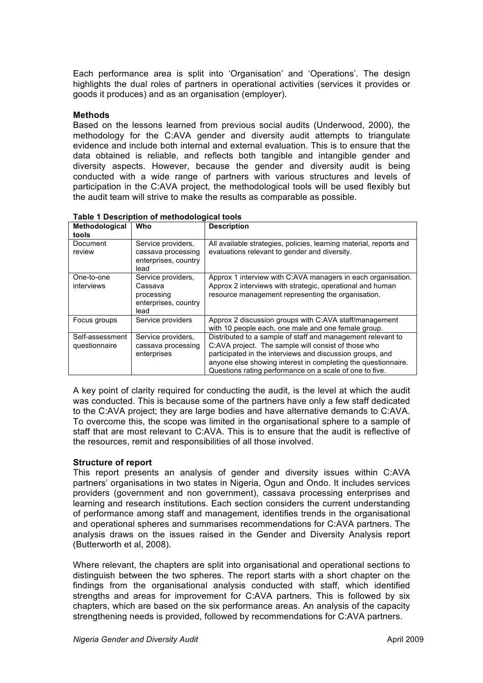Each performance area is split into 'Organisation' and 'Operations'. The design highlights the dual roles of partners in operational activities (services it provides or goods it produces) and as an organisation (employer).

#### **Methods**

Based on the lessons learned from previous social audits (Underwood, 2000), the methodology for the C:AVA gender and diversity audit attempts to triangulate evidence and include both internal and external evaluation. This is to ensure that the data obtained is reliable, and reflects both tangible and intangible gender and diversity aspects. However, because the gender and diversity audit is being conducted with a wide range of partners with various structures and levels of participation in the C:AVA project, the methodological tools will be used flexibly but the audit team will strive to make the results as comparable as possible.

| Methodological<br>tools          | Who                                                                         | <b>Description</b>                                                                                                                                                                                                                                                                                          |
|----------------------------------|-----------------------------------------------------------------------------|-------------------------------------------------------------------------------------------------------------------------------------------------------------------------------------------------------------------------------------------------------------------------------------------------------------|
| Document<br>review               | Service providers,<br>cassava processing<br>enterprises, country<br>lead    | All available strategies, policies, learning material, reports and<br>evaluations relevant to gender and diversity.                                                                                                                                                                                         |
| One-to-one<br>interviews         | Service providers,<br>Cassava<br>processing<br>enterprises, country<br>lead | Approx 1 interview with C:AVA managers in each organisation.<br>Approx 2 interviews with strategic, operational and human<br>resource management representing the organisation.                                                                                                                             |
| Focus groups                     | Service providers                                                           | Approx 2 discussion groups with C:AVA staff/management<br>with 10 people each, one male and one female group.                                                                                                                                                                                               |
| Self-assessment<br>questionnaire | Service providers,<br>cassava processing<br>enterprises                     | Distributed to a sample of staff and management relevant to<br>C:AVA project. The sample will consist of those who<br>participated in the interviews and discussion groups, and<br>anyone else showing interest in completing the questionnaire.<br>Questions rating performance on a scale of one to five. |

**Table 1 Description of methodological tools**

A key point of clarity required for conducting the audit, is the level at which the audit was conducted. This is because some of the partners have only a few staff dedicated to the C:AVA project; they are large bodies and have alternative demands to C:AVA. To overcome this, the scope was limited in the organisational sphere to a sample of staff that are most relevant to C:AVA. This is to ensure that the audit is reflective of the resources, remit and responsibilities of all those involved.

#### **Structure of report**

This report presents an analysis of gender and diversity issues within C:AVA partners' organisations in two states in Nigeria, Ogun and Ondo. It includes services providers (government and non government), cassava processing enterprises and learning and research institutions. Each section considers the current understanding of performance among staff and management, identifies trends in the organisational and operational spheres and summarises recommendations for C:AVA partners. The analysis draws on the issues raised in the Gender and Diversity Analysis report (Butterworth et al, 2008).

Where relevant, the chapters are split into organisational and operational sections to distinguish between the two spheres. The report starts with a short chapter on the findings from the organisational analysis conducted with staff, which identified strengths and areas for improvement for C:AVA partners. This is followed by six chapters, which are based on the six performance areas. An analysis of the capacity strengthening needs is provided, followed by recommendations for C:AVA partners.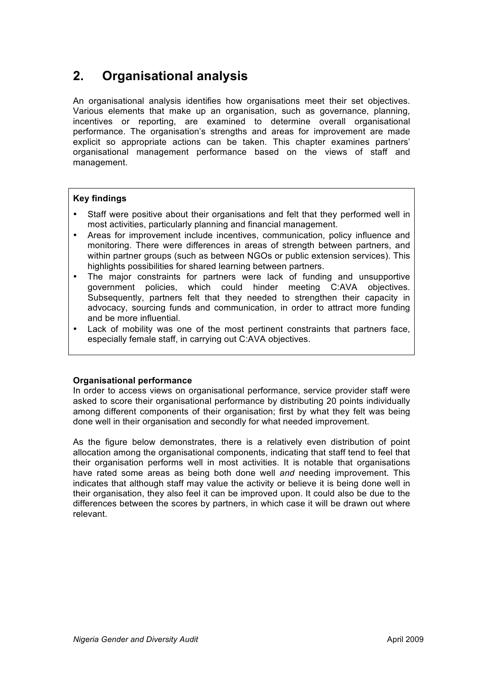## **2. Organisational analysis**

An organisational analysis identifies how organisations meet their set objectives. Various elements that make up an organisation, such as governance, planning, incentives or reporting, are examined to determine overall organisational performance. The organisation's strengths and areas for improvement are made explicit so appropriate actions can be taken. This chapter examines partners' organisational management performance based on the views of staff and management.

#### **Key findings**

- Staff were positive about their organisations and felt that they performed well in most activities, particularly planning and financial management.
- Areas for improvement include incentives, communication, policy influence and monitoring. There were differences in areas of strength between partners, and within partner groups (such as between NGOs or public extension services). This highlights possibilities for shared learning between partners.
- The major constraints for partners were lack of funding and unsupportive government policies, which could hinder meeting C:AVA objectives. Subsequently, partners felt that they needed to strengthen their capacity in advocacy, sourcing funds and communication, in order to attract more funding and be more influential.
- Lack of mobility was one of the most pertinent constraints that partners face, especially female staff, in carrying out C:AVA objectives.

#### **Organisational performance**

In order to access views on organisational performance, service provider staff were asked to score their organisational performance by distributing 20 points individually among different components of their organisation; first by what they felt was being done well in their organisation and secondly for what needed improvement.

As the figure below demonstrates, there is a relatively even distribution of point allocation among the organisational components, indicating that staff tend to feel that their organisation performs well in most activities. It is notable that organisations have rated some areas as being both done well *and* needing improvement. This indicates that although staff may value the activity or believe it is being done well in their organisation, they also feel it can be improved upon. It could also be due to the differences between the scores by partners, in which case it will be drawn out where relevant.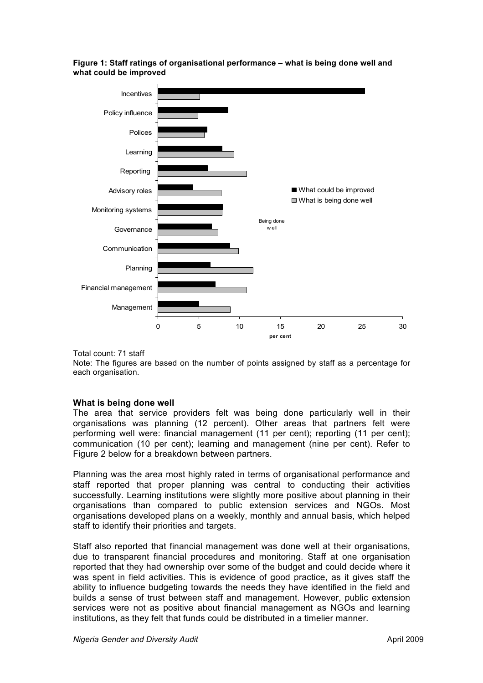#### **Figure 1: Staff ratings of organisational performance – what is being done well and what could be improved**



Total count: 71 staff

Note: The figures are based on the number of points assigned by staff as a percentage for each organisation.

#### **What is being done well**

The area that service providers felt was being done particularly well in their organisations was planning (12 percent). Other areas that partners felt were performing well were: financial management (11 per cent); reporting (11 per cent); communication (10 per cent); learning and management (nine per cent). Refer to Figure 2 below for a breakdown between partners.

Planning was the area most highly rated in terms of organisational performance and staff reported that proper planning was central to conducting their activities successfully. Learning institutions were slightly more positive about planning in their organisations than compared to public extension services and NGOs. Most organisations developed plans on a weekly, monthly and annual basis, which helped staff to identify their priorities and targets.

Staff also reported that financial management was done well at their organisations, due to transparent financial procedures and monitoring. Staff at one organisation reported that they had ownership over some of the budget and could decide where it was spent in field activities. This is evidence of good practice, as it gives staff the ability to influence budgeting towards the needs they have identified in the field and builds a sense of trust between staff and management. However, public extension services were not as positive about financial management as NGOs and learning institutions, as they felt that funds could be distributed in a timelier manner.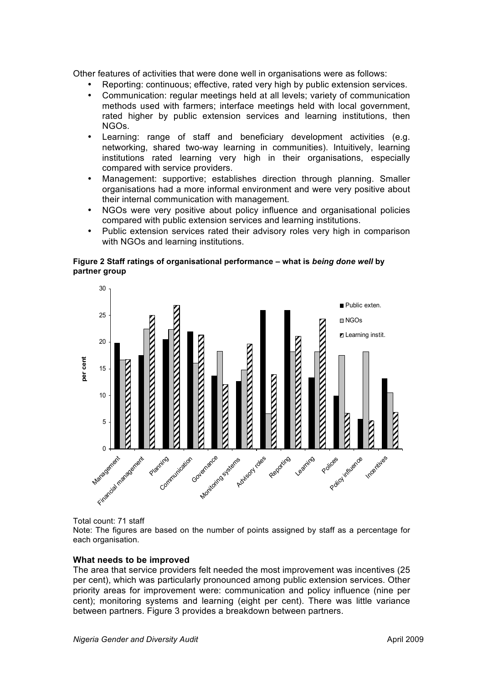Other features of activities that were done well in organisations were as follows:

- Reporting: continuous; effective, rated very high by public extension services.
- Communication: regular meetings held at all levels; variety of communication methods used with farmers; interface meetings held with local government, rated higher by public extension services and learning institutions, then NGOs.
- Learning: range of staff and beneficiary development activities (e.g. networking, shared two-way learning in communities). Intuitively, learning institutions rated learning very high in their organisations, especially compared with service providers.
- Management: supportive; establishes direction through planning. Smaller organisations had a more informal environment and were very positive about their internal communication with management.
- NGOs were very positive about policy influence and organisational policies compared with public extension services and learning institutions.
- Public extension services rated their advisory roles very high in comparison with NGOs and learning institutions.

#### **Figure 2 Staff ratings of organisational performance – what is** *being done well* **by partner group**



Total count: 71 staff

Note: The figures are based on the number of points assigned by staff as a percentage for each organisation.

#### **What needs to be improved**

The area that service providers felt needed the most improvement was incentives (25 per cent), which was particularly pronounced among public extension services. Other priority areas for improvement were: communication and policy influence (nine per cent); monitoring systems and learning (eight per cent). There was little variance between partners. Figure 3 provides a breakdown between partners.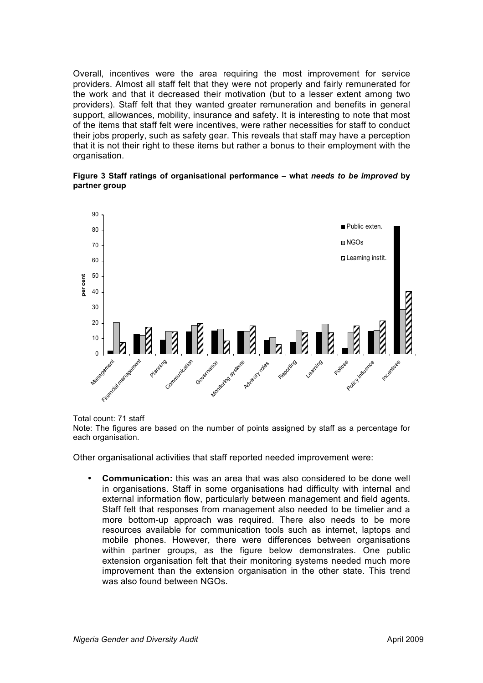Overall, incentives were the area requiring the most improvement for service providers. Almost all staff felt that they were not properly and fairly remunerated for the work and that it decreased their motivation (but to a lesser extent among two providers). Staff felt that they wanted greater remuneration and benefits in general support, allowances, mobility, insurance and safety. It is interesting to note that most of the items that staff felt were incentives, were rather necessities for staff to conduct their jobs properly, such as safety gear. This reveals that staff may have a perception that it is not their right to these items but rather a bonus to their employment with the organisation.





Total count: 71 staff

Note: The figures are based on the number of points assigned by staff as a percentage for each organisation.

Other organisational activities that staff reported needed improvement were:

• **Communication:** this was an area that was also considered to be done well in organisations. Staff in some organisations had difficulty with internal and external information flow, particularly between management and field agents. Staff felt that responses from management also needed to be timelier and a more bottom-up approach was required. There also needs to be more resources available for communication tools such as internet, laptops and mobile phones. However, there were differences between organisations within partner groups, as the figure below demonstrates. One public extension organisation felt that their monitoring systems needed much more improvement than the extension organisation in the other state. This trend was also found between NGOs.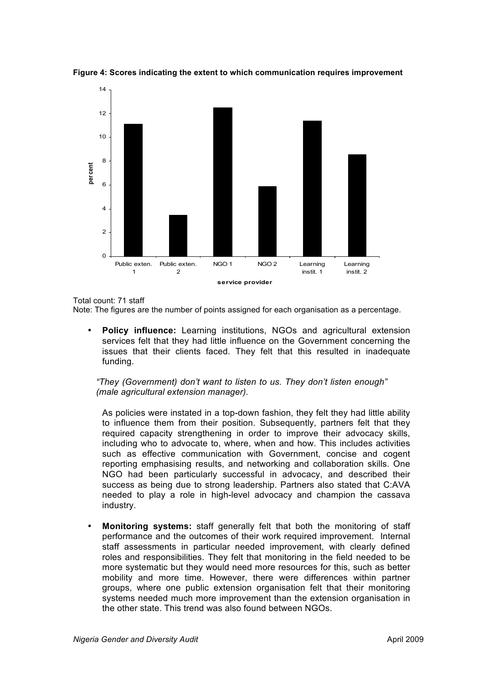

**Figure 4: Scores indicating the extent to which communication requires improvement**

Total count: 71 staff

Note: The figures are the number of points assigned for each organisation as a percentage.

• **Policy influence:** Learning institutions, NGOs and agricultural extension services felt that they had little influence on the Government concerning the issues that their clients faced. They felt that this resulted in inadequate funding.

*"They (Government) don't want to listen to us. They don't listen enough" (male agricultural extension manager).*

As policies were instated in a top-down fashion, they felt they had little ability to influence them from their position. Subsequently, partners felt that they required capacity strengthening in order to improve their advocacy skills, including who to advocate to, where, when and how. This includes activities such as effective communication with Government, concise and cogent reporting emphasising results, and networking and collaboration skills. One NGO had been particularly successful in advocacy, and described their success as being due to strong leadership. Partners also stated that C:AVA needed to play a role in high-level advocacy and champion the cassava industry.

• **Monitoring systems:** staff generally felt that both the monitoring of staff performance and the outcomes of their work required improvement. Internal staff assessments in particular needed improvement, with clearly defined roles and responsibilities. They felt that monitoring in the field needed to be more systematic but they would need more resources for this, such as better mobility and more time. However, there were differences within partner groups, where one public extension organisation felt that their monitoring systems needed much more improvement than the extension organisation in the other state. This trend was also found between NGOs.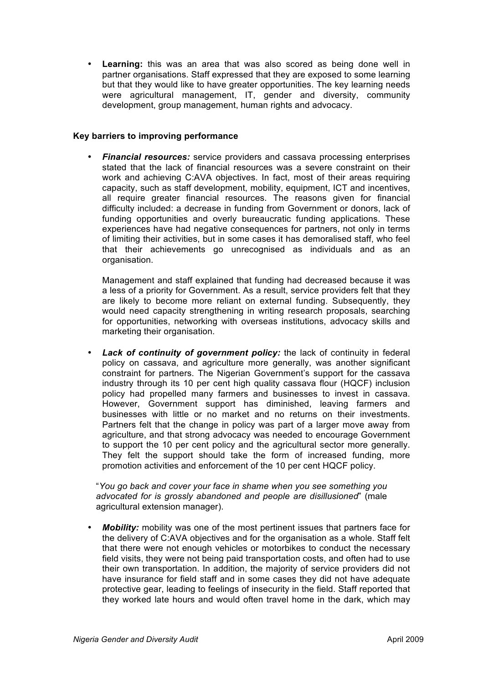• **Learning:** this was an area that was also scored as being done well in partner organisations. Staff expressed that they are exposed to some learning but that they would like to have greater opportunities. The key learning needs were agricultural management, IT, gender and diversity, community development, group management, human rights and advocacy.

#### **Key barriers to improving performance**

• *Financial resources:* service providers and cassava processing enterprises stated that the lack of financial resources was a severe constraint on their work and achieving C:AVA objectives. In fact, most of their areas requiring capacity, such as staff development, mobility, equipment, ICT and incentives, all require greater financial resources. The reasons given for financial difficulty included: a decrease in funding from Government or donors, lack of funding opportunities and overly bureaucratic funding applications. These experiences have had negative consequences for partners, not only in terms of limiting their activities, but in some cases it has demoralised staff, who feel that their achievements go unrecognised as individuals and as an organisation.

Management and staff explained that funding had decreased because it was a less of a priority for Government. As a result, service providers felt that they are likely to become more reliant on external funding. Subsequently, they would need capacity strengthening in writing research proposals, searching for opportunities, networking with overseas institutions, advocacy skills and marketing their organisation.

Lack of continuity of government policy: the lack of continuity in federal policy on cassava, and agriculture more generally, was another significant constraint for partners. The Nigerian Government's support for the cassava industry through its 10 per cent high quality cassava flour (HQCF) inclusion policy had propelled many farmers and businesses to invest in cassava. However, Government support has diminished, leaving farmers and businesses with little or no market and no returns on their investments. Partners felt that the change in policy was part of a larger move away from agriculture, and that strong advocacy was needed to encourage Government to support the 10 per cent policy and the agricultural sector more generally. They felt the support should take the form of increased funding, more promotion activities and enforcement of the 10 per cent HQCF policy.

"*You go back and cover your face in shame when you see something you advocated for is grossly abandoned and people are disillusioned*" (male agricultural extension manager).

*Mobility:* mobility was one of the most pertinent issues that partners face for the delivery of C:AVA objectives and for the organisation as a whole. Staff felt that there were not enough vehicles or motorbikes to conduct the necessary field visits, they were not being paid transportation costs, and often had to use their own transportation. In addition, the majority of service providers did not have insurance for field staff and in some cases they did not have adequate protective gear, leading to feelings of insecurity in the field. Staff reported that they worked late hours and would often travel home in the dark, which may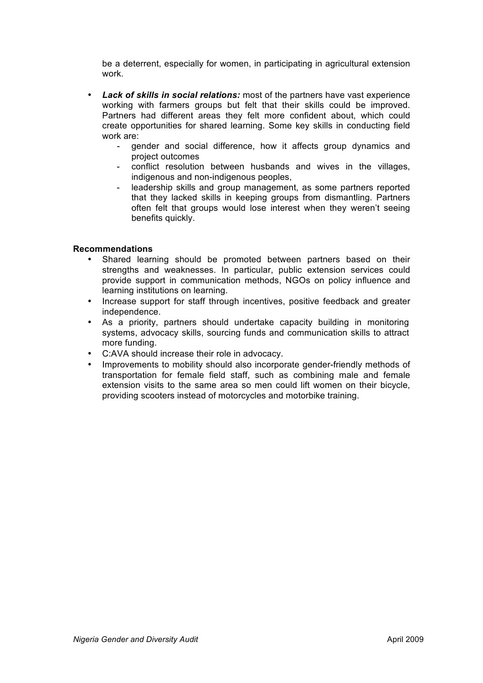be a deterrent, especially for women, in participating in agricultural extension work.

- *Lack of skills in social relations:* most of the partners have vast experience working with farmers groups but felt that their skills could be improved. Partners had different areas they felt more confident about, which could create opportunities for shared learning. Some key skills in conducting field work are:
	- gender and social difference, how it affects group dynamics and project outcomes
	- conflict resolution between husbands and wives in the villages, indigenous and non-indigenous peoples,
	- leadership skills and group management, as some partners reported that they lacked skills in keeping groups from dismantling. Partners often felt that groups would lose interest when they weren't seeing benefits quickly.

#### **Recommendations**

- Shared learning should be promoted between partners based on their strengths and weaknesses. In particular, public extension services could provide support in communication methods, NGOs on policy influence and learning institutions on learning.
- Increase support for staff through incentives, positive feedback and greater independence.
- As a priority, partners should undertake capacity building in monitoring systems, advocacy skills, sourcing funds and communication skills to attract more funding.
- C:AVA should increase their role in advocacy.
- Improvements to mobility should also incorporate gender-friendly methods of transportation for female field staff, such as combining male and female extension visits to the same area so men could lift women on their bicycle, providing scooters instead of motorcycles and motorbike training.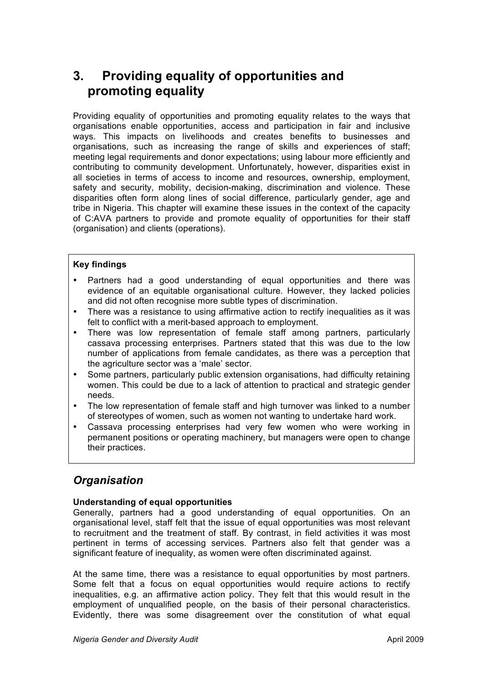## **3. Providing equality of opportunities and promoting equality**

Providing equality of opportunities and promoting equality relates to the ways that organisations enable opportunities, access and participation in fair and inclusive ways. This impacts on livelihoods and creates benefits to businesses and organisations, such as increasing the range of skills and experiences of staff; meeting legal requirements and donor expectations; using labour more efficiently and contributing to community development. Unfortunately, however, disparities exist in all societies in terms of access to income and resources, ownership, employment, safety and security, mobility, decision-making, discrimination and violence. These disparities often form along lines of social difference, particularly gender, age and tribe in Nigeria. This chapter will examine these issues in the context of the capacity of C:AVA partners to provide and promote equality of opportunities for their staff (organisation) and clients (operations).

#### **Key findings**

- Partners had a good understanding of equal opportunities and there was evidence of an equitable organisational culture. However, they lacked policies and did not often recognise more subtle types of discrimination.
- There was a resistance to using affirmative action to rectify inequalities as it was felt to conflict with a merit-based approach to employment.
- There was low representation of female staff among partners, particularly cassava processing enterprises. Partners stated that this was due to the low number of applications from female candidates, as there was a perception that the agriculture sector was a 'male' sector.
- Some partners, particularly public extension organisations, had difficulty retaining women. This could be due to a lack of attention to practical and strategic gender needs.
- The low representation of female staff and high turnover was linked to a number of stereotypes of women, such as women not wanting to undertake hard work.
- Cassava processing enterprises had very few women who were working in permanent positions or operating machinery, but managers were open to change their practices.

### *Organisation*

#### **Understanding of equal opportunities**

Generally, partners had a good understanding of equal opportunities. On an organisational level, staff felt that the issue of equal opportunities was most relevant to recruitment and the treatment of staff. By contrast, in field activities it was most pertinent in terms of accessing services. Partners also felt that gender was a significant feature of inequality, as women were often discriminated against.

At the same time, there was a resistance to equal opportunities by most partners. Some felt that a focus on equal opportunities would require actions to rectify inequalities, e.g. an affirmative action policy. They felt that this would result in the employment of unqualified people, on the basis of their personal characteristics. Evidently, there was some disagreement over the constitution of what equal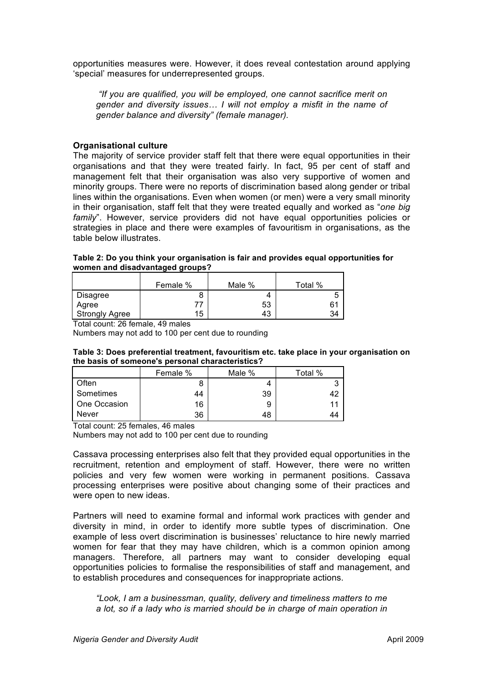opportunities measures were. However, it does reveal contestation around applying 'special' measures for underrepresented groups.

*"If you are qualified, you will be employed, one cannot sacrifice merit on gender and diversity issues… I will not employ a misfit in the name of gender balance and diversity" (female manager).*

#### **Organisational culture**

The majority of service provider staff felt that there were equal opportunities in their organisations and that they were treated fairly. In fact, 95 per cent of staff and management felt that their organisation was also very supportive of women and minority groups. There were no reports of discrimination based along gender or tribal lines within the organisations. Even when women (or men) were a very small minority in their organisation, staff felt that they were treated equally and worked as "*one big family*". However, service providers did not have equal opportunities policies or strategies in place and there were examples of favouritism in organisations, as the table below illustrates.

**Table 2: Do you think your organisation is fair and provides equal opportunities for women and disadvantaged groups?**

|                       | Female % | Male % | Total % |
|-----------------------|----------|--------|---------|
| Disagree              |          | 4      | ∽       |
| Agree                 |          | 53     |         |
| <b>Strongly Agree</b> | 15       | 43     | 34      |

Total count: 26 female, 49 males

Numbers may not add to 100 per cent due to rounding

| Table 3: Does preferential treatment, favouritism etc. take place in your organisation on |  |  |  |
|-------------------------------------------------------------------------------------------|--|--|--|
| the basis of someone's personal characteristics?                                          |  |  |  |

|              | Female % | Male % | Total % |
|--------------|----------|--------|---------|
| Often        |          |        |         |
| Sometimes    | 44       | 39     |         |
| One Occasion | 16       | 9      | 11      |
| Never        | 36       | 48     | 44      |

Total count: 25 females, 46 males

Numbers may not add to 100 per cent due to rounding

Cassava processing enterprises also felt that they provided equal opportunities in the recruitment, retention and employment of staff. However, there were no written policies and very few women were working in permanent positions. Cassava processing enterprises were positive about changing some of their practices and were open to new ideas.

Partners will need to examine formal and informal work practices with gender and diversity in mind, in order to identify more subtle types of discrimination. One example of less overt discrimination is businesses' reluctance to hire newly married women for fear that they may have children, which is a common opinion among managers. Therefore, all partners may want to consider developing equal opportunities policies to formalise the responsibilities of staff and management, and to establish procedures and consequences for inappropriate actions.

*"Look, I am a businessman, quality, delivery and timeliness matters to me a lot, so if a lady who is married should be in charge of main operation in*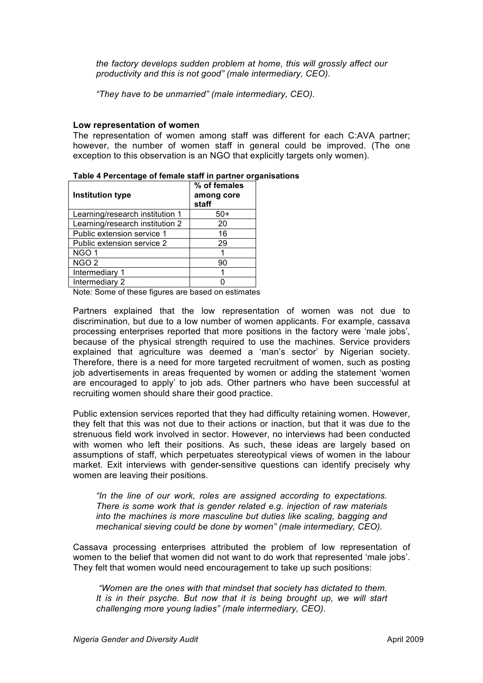*the factory develops sudden problem at home, this will grossly affect our productivity and this is not good" (male intermediary, CEO).* 

*"They have to be unmarried" (male intermediary, CEO).*

#### **Low representation of women**

The representation of women among staff was different for each C:AVA partner; however, the number of women staff in general could be improved. (The one exception to this observation is an NGO that explicitly targets only women).

| Institution type                | % of females<br>among core<br>staff |
|---------------------------------|-------------------------------------|
| Learning/research institution 1 | $50+$                               |
| Learning/research institution 2 | 20                                  |
| Public extension service 1      | 16                                  |
| Public extension service 2      | 29                                  |
| NGO <sub>1</sub>                |                                     |
| NGO <sub>2</sub>                | 90                                  |
| Intermediary 1                  |                                     |
| Intermediary 2                  |                                     |
| .                               |                                     |

|  |  | Table 4 Percentage of female staff in partner organisations |
|--|--|-------------------------------------------------------------|
|  |  |                                                             |

Note: Some of these figures are based on estimates

Partners explained that the low representation of women was not due to discrimination, but due to a low number of women applicants. For example, cassava processing enterprises reported that more positions in the factory were 'male jobs', because of the physical strength required to use the machines. Service providers explained that agriculture was deemed a 'man's sector' by Nigerian society. Therefore, there is a need for more targeted recruitment of women, such as posting job advertisements in areas frequented by women or adding the statement 'women are encouraged to apply' to job ads. Other partners who have been successful at recruiting women should share their good practice.

Public extension services reported that they had difficulty retaining women. However, they felt that this was not due to their actions or inaction, but that it was due to the strenuous field work involved in sector. However, no interviews had been conducted with women who left their positions. As such, these ideas are largely based on assumptions of staff, which perpetuates stereotypical views of women in the labour market. Exit interviews with gender-sensitive questions can identify precisely why women are leaving their positions.

*"In the line of our work, roles are assigned according to expectations. There is some work that is gender related e.g. injection of raw materials into the machines is more masculine but duties like scaling, bagging and mechanical sieving could be done by women" (male intermediary, CEO).*

Cassava processing enterprises attributed the problem of low representation of women to the belief that women did not want to do work that represented 'male jobs'. They felt that women would need encouragement to take up such positions:

*"Women are the ones with that mindset that society has dictated to them.*  It is in their psyche. But now that it is being brought up, we will start *challenging more young ladies" (male intermediary, CEO).*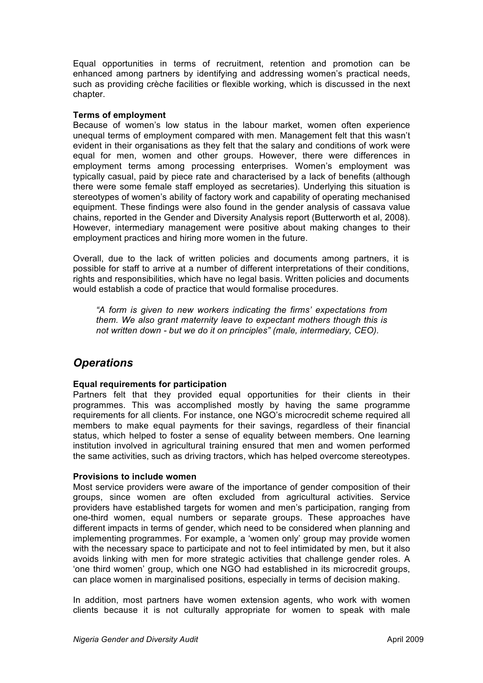Equal opportunities in terms of recruitment, retention and promotion can be enhanced among partners by identifying and addressing women's practical needs, such as providing crèche facilities or flexible working, which is discussed in the next chapter.

#### **Terms of employment**

Because of women's low status in the labour market, women often experience unequal terms of employment compared with men. Management felt that this wasn't evident in their organisations as they felt that the salary and conditions of work were equal for men, women and other groups. However, there were differences in employment terms among processing enterprises. Women's employment was typically casual, paid by piece rate and characterised by a lack of benefits (although there were some female staff employed as secretaries). Underlying this situation is stereotypes of women's ability of factory work and capability of operating mechanised equipment. These findings were also found in the gender analysis of cassava value chains, reported in the Gender and Diversity Analysis report (Butterworth et al, 2008). However, intermediary management were positive about making changes to their employment practices and hiring more women in the future.

Overall, due to the lack of written policies and documents among partners, it is possible for staff to arrive at a number of different interpretations of their conditions, rights and responsibilities, which have no legal basis. Written policies and documents would establish a code of practice that would formalise procedures.

*"A form is given to new workers indicating the firms' expectations from them. We also grant maternity leave to expectant mothers though this is not written down - but we do it on principles" (male, intermediary, CEO).*

### *Operations*

#### **Equal requirements for participation**

Partners felt that they provided equal opportunities for their clients in their programmes. This was accomplished mostly by having the same programme requirements for all clients. For instance, one NGO's microcredit scheme required all members to make equal payments for their savings, regardless of their financial status, which helped to foster a sense of equality between members. One learning institution involved in agricultural training ensured that men and women performed the same activities, such as driving tractors, which has helped overcome stereotypes.

#### **Provisions to include women**

Most service providers were aware of the importance of gender composition of their groups, since women are often excluded from agricultural activities. Service providers have established targets for women and men's participation, ranging from one-third women, equal numbers or separate groups. These approaches have different impacts in terms of gender, which need to be considered when planning and implementing programmes. For example, a 'women only' group may provide women with the necessary space to participate and not to feel intimidated by men, but it also avoids linking with men for more strategic activities that challenge gender roles. A 'one third women' group, which one NGO had established in its microcredit groups, can place women in marginalised positions, especially in terms of decision making.

In addition, most partners have women extension agents, who work with women clients because it is not culturally appropriate for women to speak with male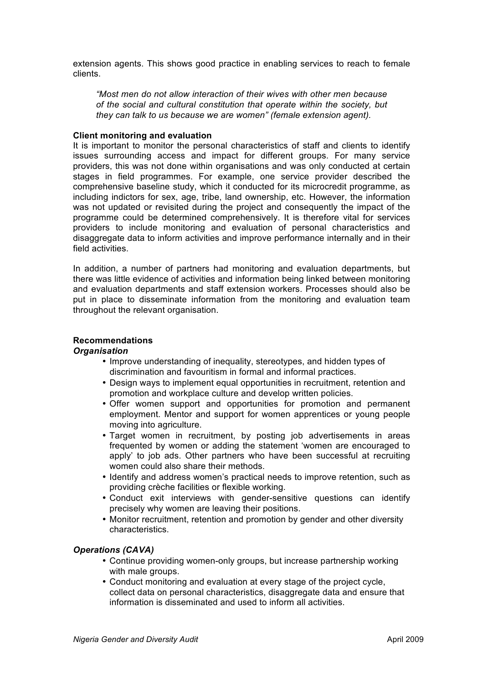extension agents. This shows good practice in enabling services to reach to female clients.

*"Most men do not allow interaction of their wives with other men because of the social and cultural constitution that operate within the society, but they can talk to us because we are women" (female extension agent).*

#### **Client monitoring and evaluation**

It is important to monitor the personal characteristics of staff and clients to identify issues surrounding access and impact for different groups. For many service providers, this was not done within organisations and was only conducted at certain stages in field programmes. For example, one service provider described the comprehensive baseline study, which it conducted for its microcredit programme, as including indictors for sex, age, tribe, land ownership, etc. However, the information was not updated or revisited during the project and consequently the impact of the programme could be determined comprehensively. It is therefore vital for services providers to include monitoring and evaluation of personal characteristics and disaggregate data to inform activities and improve performance internally and in their field activities.

In addition, a number of partners had monitoring and evaluation departments, but there was little evidence of activities and information being linked between monitoring and evaluation departments and staff extension workers. Processes should also be put in place to disseminate information from the monitoring and evaluation team throughout the relevant organisation.

#### **Recommendations**

#### *Organisation*

- Improve understanding of inequality, stereotypes, and hidden types of discrimination and favouritism in formal and informal practices.
- Design ways to implement equal opportunities in recruitment, retention and promotion and workplace culture and develop written policies.
- Offer women support and opportunities for promotion and permanent employment. Mentor and support for women apprentices or young people moving into agriculture.
- Target women in recruitment, by posting job advertisements in areas frequented by women or adding the statement 'women are encouraged to apply' to job ads. Other partners who have been successful at recruiting women could also share their methods.
- Identify and address women's practical needs to improve retention, such as providing crèche facilities or flexible working.
- Conduct exit interviews with gender-sensitive questions can identify precisely why women are leaving their positions.
- Monitor recruitment, retention and promotion by gender and other diversity characteristics.

#### *Operations (CAVA)*

- Continue providing women-only groups, but increase partnership working with male groups.
- Conduct monitoring and evaluation at every stage of the project cycle, collect data on personal characteristics, disaggregate data and ensure that information is disseminated and used to inform all activities.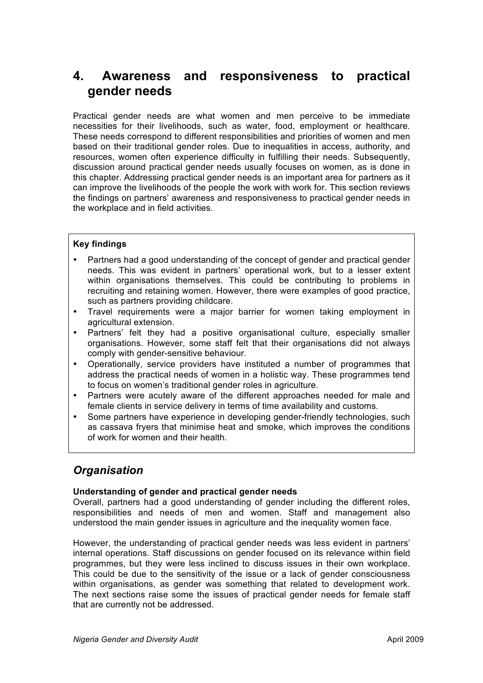## **4. Awareness and responsiveness to practical gender needs**

Practical gender needs are what women and men perceive to be immediate necessities for their livelihoods, such as water, food, employment or healthcare. These needs correspond to different responsibilities and priorities of women and men based on their traditional gender roles. Due to inequalities in access, authority, and resources, women often experience difficulty in fulfilling their needs. Subsequently, discussion around practical gender needs usually focuses on women, as is done in this chapter. Addressing practical gender needs is an important area for partners as it can improve the livelihoods of the people the work with work for. This section reviews the findings on partners' awareness and responsiveness to practical gender needs in the workplace and in field activities.

#### **Key findings**

- Partners had a good understanding of the concept of gender and practical gender needs. This was evident in partners' operational work, but to a lesser extent within organisations themselves. This could be contributing to problems in recruiting and retaining women. However, there were examples of good practice, such as partners providing childcare.
- Travel requirements were a major barrier for women taking employment in agricultural extension.
- Partners' felt they had a positive organisational culture, especially smaller organisations. However, some staff felt that their organisations did not always comply with gender-sensitive behaviour.
- Operationally, service providers have instituted a number of programmes that address the practical needs of women in a holistic way. These programmes tend to focus on women's traditional gender roles in agriculture.
- Partners were acutely aware of the different approaches needed for male and female clients in service delivery in terms of time availability and customs.
- Some partners have experience in developing gender-friendly technologies, such as cassava fryers that minimise heat and smoke, which improves the conditions of work for women and their health.

## *Organisation*

#### **Understanding of gender and practical gender needs**

Overall, partners had a good understanding of gender including the different roles, responsibilities and needs of men and women. Staff and management also understood the main gender issues in agriculture and the inequality women face.

However, the understanding of practical gender needs was less evident in partners' internal operations. Staff discussions on gender focused on its relevance within field programmes, but they were less inclined to discuss issues in their own workplace. This could be due to the sensitivity of the issue or a lack of gender consciousness within organisations, as gender was something that related to development work. The next sections raise some the issues of practical gender needs for female staff that are currently not be addressed.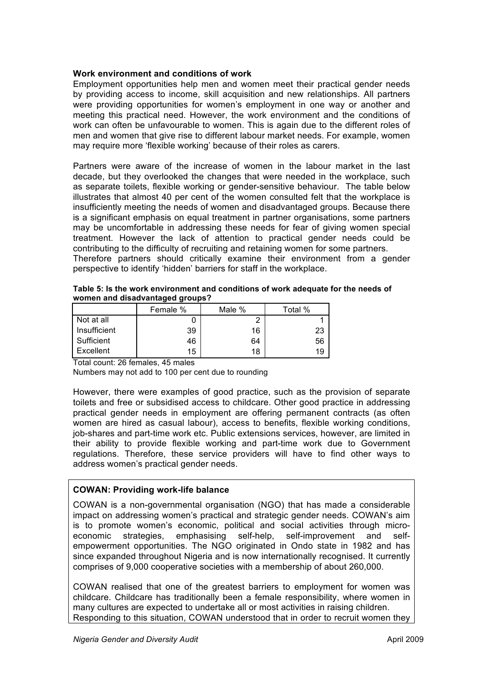#### **Work environment and conditions of work**

Employment opportunities help men and women meet their practical gender needs by providing access to income, skill acquisition and new relationships. All partners were providing opportunities for women's employment in one way or another and meeting this practical need. However, the work environment and the conditions of work can often be unfavourable to women. This is again due to the different roles of men and women that give rise to different labour market needs. For example, women may require more 'flexible working' because of their roles as carers.

Partners were aware of the increase of women in the labour market in the last decade, but they overlooked the changes that were needed in the workplace, such as separate toilets, flexible working or gender-sensitive behaviour. The table below illustrates that almost 40 per cent of the women consulted felt that the workplace is insufficiently meeting the needs of women and disadvantaged groups. Because there is a significant emphasis on equal treatment in partner organisations, some partners may be uncomfortable in addressing these needs for fear of giving women special treatment. However the lack of attention to practical gender needs could be contributing to the difficulty of recruiting and retaining women for some partners. Therefore partners should critically examine their environment from a gender

perspective to identify 'hidden' barriers for staff in the workplace.

| Table 5: Is the work environment and conditions of work adequate for the needs of |
|-----------------------------------------------------------------------------------|
| women and disadvantaged groups?                                                   |

|              | Female % | Male % | Total % |
|--------------|----------|--------|---------|
| Not at all   |          | ົ      |         |
| Insufficient | 39       | 16     | 23      |
| Sufficient   | 46       | 64     | 56      |
| Excellent    | 15       | 18     | 19      |

Total count: 26 females, 45 males

Numbers may not add to 100 per cent due to rounding

However, there were examples of good practice, such as the provision of separate toilets and free or subsidised access to childcare. Other good practice in addressing practical gender needs in employment are offering permanent contracts (as often women are hired as casual labour), access to benefits, flexible working conditions, job-shares and part-time work etc. Public extensions services, however, are limited in their ability to provide flexible working and part-time work due to Government regulations. Therefore, these service providers will have to find other ways to address women's practical gender needs.

#### **COWAN: Providing work-life balance**

COWAN is a non-governmental organisation (NGO) that has made a considerable impact on addressing women's practical and strategic gender needs. COWAN's aim is to promote women's economic, political and social activities through microeconomic strategies, emphasising self-help, self-improvement and selfempowerment opportunities. The NGO originated in Ondo state in 1982 and has since expanded throughout Nigeria and is now internationally recognised. It currently comprises of 9,000 cooperative societies with a membership of about 260,000.

COWAN realised that one of the greatest barriers to employment for women was childcare. Childcare has traditionally been a female responsibility, where women in many cultures are expected to undertake all or most activities in raising children. Responding to this situation, COWAN understood that in order to recruit women they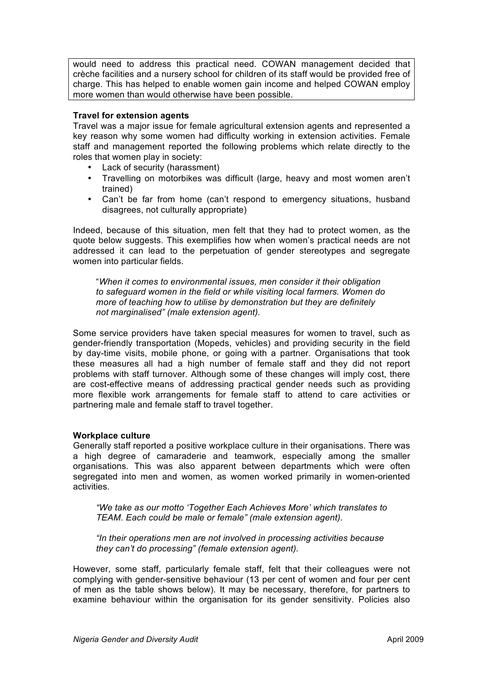would need to address this practical need. COWAN management decided that crèche facilities and a nursery school for children of its staff would be provided free of charge. This has helped to enable women gain income and helped COWAN employ more women than would otherwise have been possible.

#### **Travel for extension agents**

Travel was a major issue for female agricultural extension agents and represented a key reason why some women had difficulty working in extension activities. Female staff and management reported the following problems which relate directly to the roles that women play in society:

- Lack of security (harassment)
- Travelling on motorbikes was difficult (large, heavy and most women aren't trained)
- Can't be far from home (can't respond to emergency situations, husband disagrees, not culturally appropriate)

Indeed, because of this situation, men felt that they had to protect women, as the quote below suggests. This exemplifies how when women's practical needs are not addressed it can lead to the perpetuation of gender stereotypes and segregate women into particular fields.

"*When it comes to environmental issues, men consider it their obligation to safeguard women in the field or while visiting local farmers. Women do more of teaching how to utilise by demonstration but they are definitely not marginalised" (male extension agent).*

Some service providers have taken special measures for women to travel, such as gender-friendly transportation (Mopeds, vehicles) and providing security in the field by day-time visits, mobile phone, or going with a partner. Organisations that took these measures all had a high number of female staff and they did not report problems with staff turnover. Although some of these changes will imply cost, there are cost-effective means of addressing practical gender needs such as providing more flexible work arrangements for female staff to attend to care activities or partnering male and female staff to travel together.

#### **Workplace culture**

Generally staff reported a positive workplace culture in their organisations. There was a high degree of camaraderie and teamwork, especially among the smaller organisations. This was also apparent between departments which were often segregated into men and women, as women worked primarily in women-oriented activities.

*"We take as our motto 'Together Each Achieves More' which translates to TEAM. Each could be male or female" (male extension agent).*

*"In their operations men are not involved in processing activities because they can't do processing" (female extension agent).*

However, some staff, particularly female staff, felt that their colleagues were not complying with gender-sensitive behaviour (13 per cent of women and four per cent of men as the table shows below). It may be necessary, therefore, for partners to examine behaviour within the organisation for its gender sensitivity. Policies also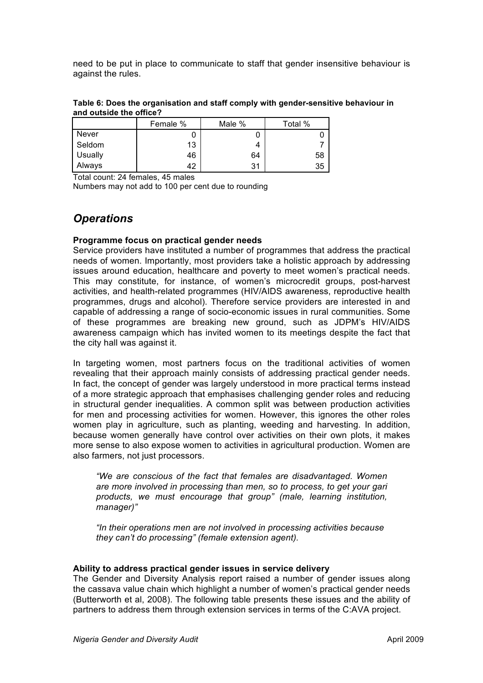need to be put in place to communicate to staff that gender insensitive behaviour is against the rules.

| Table 6: Does the organisation and staff comply with gender-sensitive behaviour in |  |
|------------------------------------------------------------------------------------|--|
| and outside the office?                                                            |  |

|         | Female % | Male % | Total % |
|---------|----------|--------|---------|
| Never   |          |        |         |
| Seldom  | 13       | 4      |         |
| Usually | 46       | 64     | 58      |
| Always  | 42       | 31     | 35      |

Total count: 24 females, 45 males

Numbers may not add to 100 per cent due to rounding

### *Operations*

#### **Programme focus on practical gender needs**

Service providers have instituted a number of programmes that address the practical needs of women. Importantly, most providers take a holistic approach by addressing issues around education, healthcare and poverty to meet women's practical needs. This may constitute, for instance, of women's microcredit groups, post-harvest activities, and health-related programmes (HIV/AIDS awareness, reproductive health programmes, drugs and alcohol). Therefore service providers are interested in and capable of addressing a range of socio-economic issues in rural communities. Some of these programmes are breaking new ground, such as JDPM's HIV/AIDS awareness campaign which has invited women to its meetings despite the fact that the city hall was against it.

In targeting women, most partners focus on the traditional activities of women revealing that their approach mainly consists of addressing practical gender needs. In fact, the concept of gender was largely understood in more practical terms instead of a more strategic approach that emphasises challenging gender roles and reducing in structural gender inequalities. A common split was between production activities for men and processing activities for women. However, this ignores the other roles women play in agriculture, such as planting, weeding and harvesting. In addition, because women generally have control over activities on their own plots, it makes more sense to also expose women to activities in agricultural production. Women are also farmers, not just processors.

*"We are conscious of the fact that females are disadvantaged. Women are more involved in processing than men, so to process, to get your gari products, we must encourage that group" (male, learning institution, manager)"*

*"In their operations men are not involved in processing activities because they can't do processing" (female extension agent).*

#### **Ability to address practical gender issues in service delivery**

The Gender and Diversity Analysis report raised a number of gender issues along the cassava value chain which highlight a number of women's practical gender needs (Butterworth et al, 2008). The following table presents these issues and the ability of partners to address them through extension services in terms of the C:AVA project.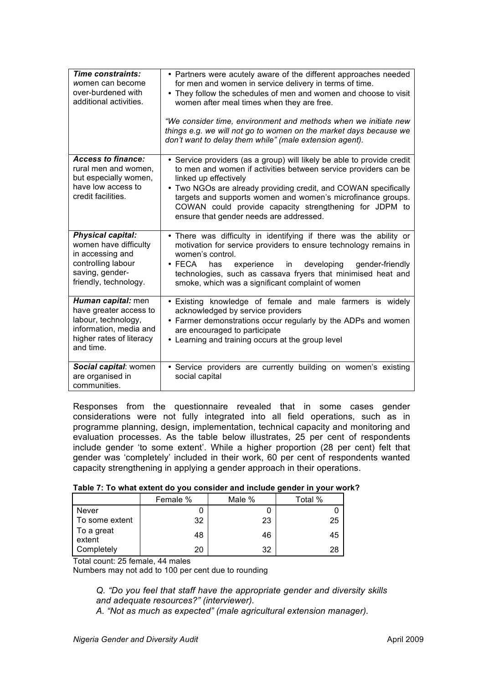| Time constraints:<br>women can become<br>over-burdened with<br>additional activities.                                                   | • Partners were acutely aware of the different approaches needed<br>for men and women in service delivery in terms of time.<br>• They follow the schedules of men and women and choose to visit<br>women after meal times when they are free.<br>"We consider time, environment and methods when we initiate new<br>things e.g. we will not go to women on the market days because we<br>don't want to delay them while" (male extension agent). |
|-----------------------------------------------------------------------------------------------------------------------------------------|--------------------------------------------------------------------------------------------------------------------------------------------------------------------------------------------------------------------------------------------------------------------------------------------------------------------------------------------------------------------------------------------------------------------------------------------------|
| <b>Access to finance:</b><br>rural men and women.<br>but especially women,<br>have low access to<br>credit facilities.                  | • Service providers (as a group) will likely be able to provide credit<br>to men and women if activities between service providers can be<br>linked up effectively<br>• Two NGOs are already providing credit, and COWAN specifically<br>targets and supports women and women's microfinance groups.<br>COWAN could provide capacity strengthening for JDPM to<br>ensure that gender needs are addressed.                                        |
| <b>Physical capital:</b><br>women have difficulty<br>in accessing and<br>controlling labour<br>saving, gender-<br>friendly, technology. | . There was difficulty in identifying if there was the ability or<br>motivation for service providers to ensure technology remains in<br>women's control.<br>$\bullet$ FECA<br>experience<br>developing<br>has<br>in<br>gender-friendly<br>technologies, such as cassava fryers that minimised heat and<br>smoke, which was a significant complaint of women                                                                                     |
| Human capital: men<br>have greater access to<br>labour, technology,<br>information, media and<br>higher rates of literacy<br>and time.  | . Existing knowledge of female and male farmers is widely<br>acknowledged by service providers<br>• Farmer demonstrations occur regularly by the ADPs and women<br>are encouraged to participate<br>• Learning and training occurs at the group level                                                                                                                                                                                            |
| Social capital: women<br>are organised in<br>communities.                                                                               | • Service providers are currently building on women's existing<br>social capital                                                                                                                                                                                                                                                                                                                                                                 |

Responses from the questionnaire revealed that in some cases gender considerations were not fully integrated into all field operations, such as in programme planning, design, implementation, technical capacity and monitoring and evaluation processes. As the table below illustrates, 25 per cent of respondents include gender 'to some extent'. While a higher proportion (28 per cent) felt that gender was 'completely' included in their work, 60 per cent of respondents wanted capacity strengthening in applying a gender approach in their operations.

#### **Table 7: To what extent do you consider and include gender in your work?**

|                      | Female % | Male % | Total % |
|----------------------|----------|--------|---------|
| <b>Never</b>         |          |        |         |
| To some extent       | 32       | 23     | 25      |
| To a great<br>extent | 48       | 46     | 45      |
| Completely           | 20       | 32     | 28      |

Total count: 25 female, 44 males

Numbers may not add to 100 per cent due to rounding

*Q. "Do you feel that staff have the appropriate gender and diversity skills and adequate resources?" (interviewer).*

*A. "Not as much as expected" (male agricultural extension manager).*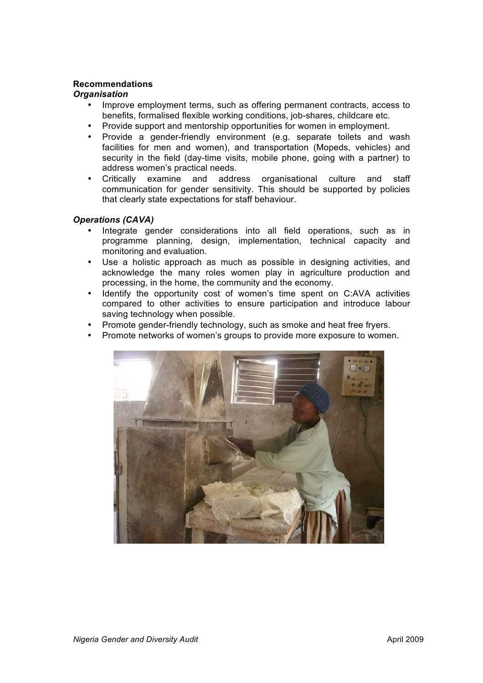#### **Recommendations**

#### *Organisation*

- Improve employment terms, such as offering permanent contracts, access to benefits, formalised flexible working conditions, job-shares, childcare etc.
- Provide support and mentorship opportunities for women in employment.
- Provide a gender-friendly environment (e.g. separate toilets and wash facilities for men and women), and transportation (Mopeds, vehicles) and security in the field (day-time visits, mobile phone, going with a partner) to address women's practical needs.
- Critically examine and address organisational culture and staff communication for gender sensitivity. This should be supported by policies that clearly state expectations for staff behaviour.

#### *Operations (CAVA)*

- Integrate gender considerations into all field operations, such as in programme planning, design, implementation, technical capacity and monitoring and evaluation.
- Use a holistic approach as much as possible in designing activities, and acknowledge the many roles women play in agriculture production and processing, in the home, the community and the economy.
- Identify the opportunity cost of women's time spent on C:AVA activities compared to other activities to ensure participation and introduce labour saving technology when possible.
- Promote gender-friendly technology, such as smoke and heat free fryers.
- Promote networks of women's groups to provide more exposure to women.

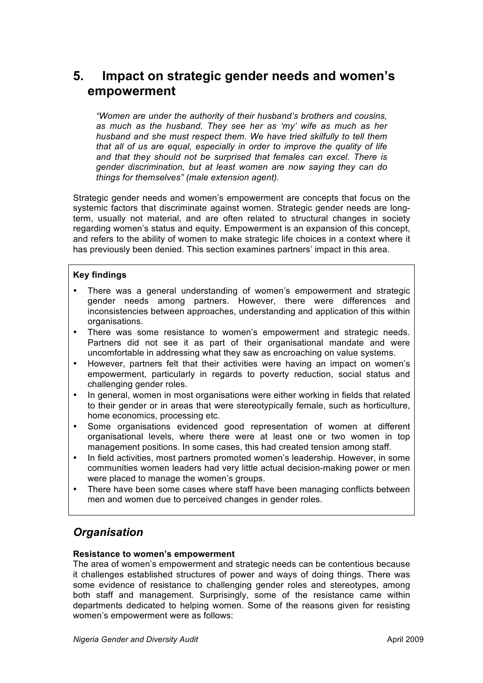## **5. Impact on strategic gender needs and women's empowerment**

*"Women are under the authority of their husband's brothers and cousins, as much as the husband. They see her as 'my' wife as much as her husband and she must respect them. We have tried skilfully to tell them that all of us are equal, especially in order to improve the quality of life and that they should not be surprised that females can excel. There is gender discrimination, but at least women are now saying they can do things for themselves" (male extension agent).*

Strategic gender needs and women's empowerment are concepts that focus on the systemic factors that discriminate against women. Strategic gender needs are longterm, usually not material, and are often related to structural changes in society regarding women's status and equity. Empowerment is an expansion of this concept, and refers to the ability of women to make strategic life choices in a context where it has previously been denied. This section examines partners' impact in this area.

#### **Key findings**

- There was a general understanding of women's empowerment and strategic gender needs among partners. However, there were differences and inconsistencies between approaches, understanding and application of this within organisations.
- There was some resistance to women's empowerment and strategic needs. Partners did not see it as part of their organisational mandate and were uncomfortable in addressing what they saw as encroaching on value systems.
- However, partners felt that their activities were having an impact on women's empowerment, particularly in regards to poverty reduction, social status and challenging gender roles.
- In general, women in most organisations were either working in fields that related to their gender or in areas that were stereotypically female, such as horticulture, home economics, processing etc.
- Some organisations evidenced good representation of women at different organisational levels, where there were at least one or two women in top management positions. In some cases, this had created tension among staff.
- In field activities, most partners promoted women's leadership. However, in some communities women leaders had very little actual decision-making power or men were placed to manage the women's groups.
- There have been some cases where staff have been managing conflicts between men and women due to perceived changes in gender roles.

### *Organisation*

#### **Resistance to women's empowerment**

The area of women's empowerment and strategic needs can be contentious because it challenges established structures of power and ways of doing things. There was some evidence of resistance to challenging gender roles and stereotypes, among both staff and management. Surprisingly, some of the resistance came within departments dedicated to helping women. Some of the reasons given for resisting women's empowerment were as follows: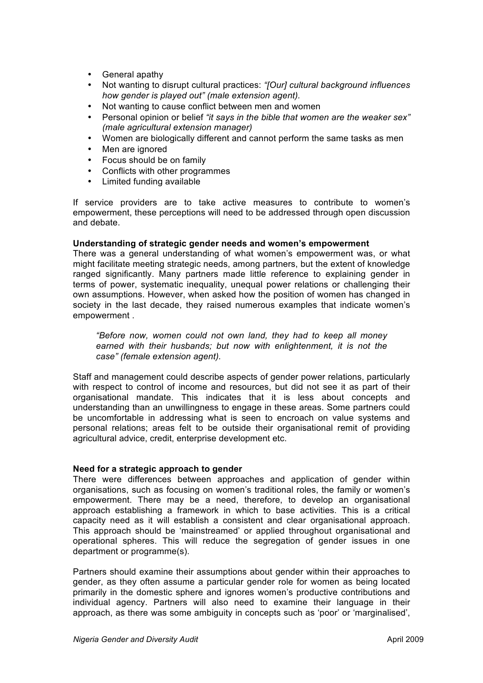- General apathy
- Not wanting to disrupt cultural practices: *"[Our] cultural background influences how gender is played out" (male extension agent).*
- Not wanting to cause conflict between men and women
- Personal opinion or belief *"it says in the bible that women are the weaker sex" (male agricultural extension manager)*
- Women are biologically different and cannot perform the same tasks as men
- Men are ignored
- Focus should be on family
- Conflicts with other programmes
- Limited funding available

If service providers are to take active measures to contribute to women's empowerment, these perceptions will need to be addressed through open discussion and debate.

#### **Understanding of strategic gender needs and women's empowerment**

There was a general understanding of what women's empowerment was, or what might facilitate meeting strategic needs, among partners, but the extent of knowledge ranged significantly. Many partners made little reference to explaining gender in terms of power, systematic inequality, unequal power relations or challenging their own assumptions. However, when asked how the position of women has changed in society in the last decade, they raised numerous examples that indicate women's empowerment .

*"Before now, women could not own land, they had to keep all money earned with their husbands; but now with enlightenment, it is not the case" (female extension agent).* 

Staff and management could describe aspects of gender power relations, particularly with respect to control of income and resources, but did not see it as part of their organisational mandate. This indicates that it is less about concepts and understanding than an unwillingness to engage in these areas. Some partners could be uncomfortable in addressing what is seen to encroach on value systems and personal relations; areas felt to be outside their organisational remit of providing agricultural advice, credit, enterprise development etc.

#### **Need for a strategic approach to gender**

There were differences between approaches and application of gender within organisations, such as focusing on women's traditional roles, the family or women's empowerment. There may be a need, therefore, to develop an organisational approach establishing a framework in which to base activities. This is a critical capacity need as it will establish a consistent and clear organisational approach. This approach should be 'mainstreamed' or applied throughout organisational and operational spheres. This will reduce the segregation of gender issues in one department or programme(s).

Partners should examine their assumptions about gender within their approaches to gender, as they often assume a particular gender role for women as being located primarily in the domestic sphere and ignores women's productive contributions and individual agency. Partners will also need to examine their language in their approach, as there was some ambiguity in concepts such as 'poor' or 'marginalised',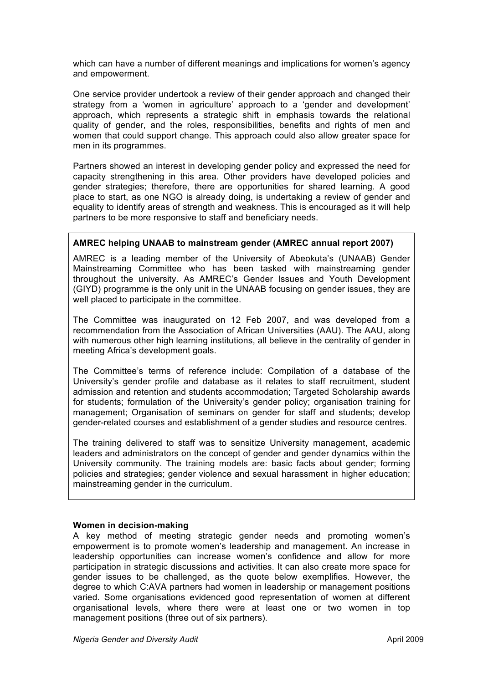which can have a number of different meanings and implications for women's agency and empowerment.

One service provider undertook a review of their gender approach and changed their strategy from a 'women in agriculture' approach to a 'gender and development' approach, which represents a strategic shift in emphasis towards the relational quality of gender, and the roles, responsibilities, benefits and rights of men and women that could support change. This approach could also allow greater space for men in its programmes.

Partners showed an interest in developing gender policy and expressed the need for capacity strengthening in this area. Other providers have developed policies and gender strategies; therefore, there are opportunities for shared learning. A good place to start, as one NGO is already doing, is undertaking a review of gender and equality to identify areas of strength and weakness. This is encouraged as it will help partners to be more responsive to staff and beneficiary needs.

#### **AMREC helping UNAAB to mainstream gender (AMREC annual report 2007)**

AMREC is a leading member of the University of Abeokuta's (UNAAB) Gender Mainstreaming Committee who has been tasked with mainstreaming gender throughout the university. As AMREC's Gender Issues and Youth Development (GIYD) programme is the only unit in the UNAAB focusing on gender issues, they are well placed to participate in the committee.

The Committee was inaugurated on 12 Feb 2007, and was developed from a recommendation from the Association of African Universities (AAU). The AAU, along with numerous other high learning institutions, all believe in the centrality of gender in meeting Africa's development goals.

The Committee's terms of reference include: Compilation of a database of the University's gender profile and database as it relates to staff recruitment, student admission and retention and students accommodation; Targeted Scholarship awards for students; formulation of the University's gender policy; organisation training for management; Organisation of seminars on gender for staff and students; develop gender-related courses and establishment of a gender studies and resource centres.

The training delivered to staff was to sensitize University management, academic leaders and administrators on the concept of gender and gender dynamics within the University community. The training models are: basic facts about gender; forming policies and strategies; gender violence and sexual harassment in higher education; mainstreaming gender in the curriculum.

#### **Women in decision-making**

A key method of meeting strategic gender needs and promoting women's empowerment is to promote women's leadership and management. An increase in leadership opportunities can increase women's confidence and allow for more participation in strategic discussions and activities. It can also create more space for gender issues to be challenged, as the quote below exemplifies. However, the degree to which C:AVA partners had women in leadership or management positions varied. Some organisations evidenced good representation of women at different organisational levels, where there were at least one or two women in top management positions (three out of six partners).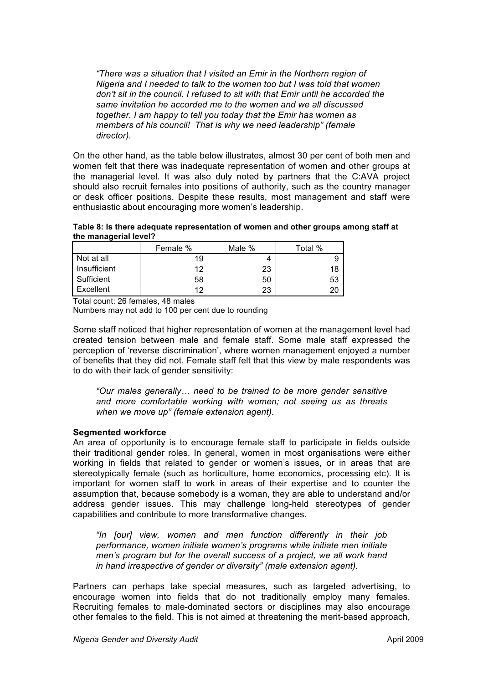*"There was a situation that I visited an Emir in the Northern region of Nigeria and I needed to talk to the women too but I was told that women don't sit in the council. I refused to sit with that Emir until he accorded the same invitation he accorded me to the women and we all discussed together. I am happy to tell you today that the Emir has women as members of his council! That is why we need leadership" (female director).*

On the other hand, as the table below illustrates, almost 30 per cent of both men and women felt that there was inadequate representation of women and other groups at the managerial level. It was also duly noted by partners that the C:AVA project should also recruit females into positions of authority, such as the country manager or desk officer positions. Despite these results, most management and staff were enthusiastic about encouraging more women's leadership.

**Table 8: Is there adequate representation of women and other groups among staff at the managerial level?**

|              | Female % | Male % | Total % |
|--------------|----------|--------|---------|
| Not at all   | 19       |        | 9       |
| Insufficient | 12       | 23     | 18      |
| Sufficient   | 58       | 50     | 53      |
| Excellent    | ィつ       | 23     | 20      |

Total count: 26 females, 48 males

Numbers may not add to 100 per cent due to rounding

Some staff noticed that higher representation of women at the management level had created tension between male and female staff. Some male staff expressed the perception of 'reverse discrimination', where women management enjoyed a number of benefits that they did not. Female staff felt that this view by male respondents was to do with their lack of gender sensitivity:

*"Our males generally… need to be trained to be more gender sensitive and more comfortable working with women; not seeing us as threats when we move up" (female extension agent).*

#### **Segmented workforce**

An area of opportunity is to encourage female staff to participate in fields outside their traditional gender roles. In general, women in most organisations were either working in fields that related to gender or women's issues, or in areas that are stereotypically female (such as horticulture, home economics, processing etc). It is important for women staff to work in areas of their expertise and to counter the assumption that, because somebody is a woman, they are able to understand and/or address gender issues. This may challenge long-held stereotypes of gender capabilities and contribute to more transformative changes.

*"In [our] view, women and men function differently in their job performance, women initiate women's programs while initiate men initiate men's program but for the overall success of a project, we all work hand in hand irrespective of gender or diversity" (male extension agent).*

Partners can perhaps take special measures, such as targeted advertising, to encourage women into fields that do not traditionally employ many females. Recruiting females to male-dominated sectors or disciplines may also encourage other females to the field. This is not aimed at threatening the merit-based approach,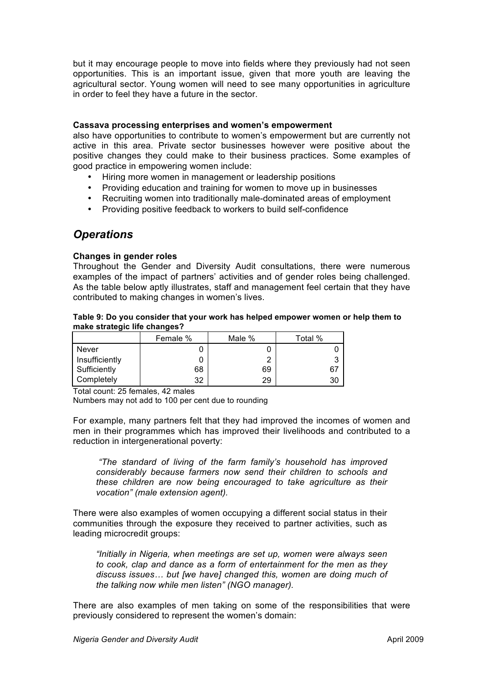but it may encourage people to move into fields where they previously had not seen opportunities. This is an important issue, given that more youth are leaving the agricultural sector. Young women will need to see many opportunities in agriculture in order to feel they have a future in the sector.

#### **Cassava processing enterprises and women's empowerment**

also have opportunities to contribute to women's empowerment but are currently not active in this area. Private sector businesses however were positive about the positive changes they could make to their business practices. Some examples of good practice in empowering women include:

- Hiring more women in management or leadership positions
- Providing education and training for women to move up in businesses
- Recruiting women into traditionally male-dominated areas of employment
- Providing positive feedback to workers to build self-confidence

### *Operations*

#### **Changes in gender roles**

Throughout the Gender and Diversity Audit consultations, there were numerous examples of the impact of partners' activities and of gender roles being challenged. As the table below aptly illustrates, staff and management feel certain that they have contributed to making changes in women's lives.

#### **Table 9: Do you consider that your work has helped empower women or help them to make strategic life changes?**

|                | Female % | Male % | Total % |
|----------------|----------|--------|---------|
| <b>Never</b>   |          |        |         |
| Insufficiently |          | ⌒      | ີ       |
| Sufficiently   | 68       | 69     | 67      |
| Completely     | 32       | 29     | 30      |

Total count: 25 females, 42 males

Numbers may not add to 100 per cent due to rounding

For example, many partners felt that they had improved the incomes of women and men in their programmes which has improved their livelihoods and contributed to a reduction in intergenerational poverty:

*"The standard of living of the farm family's household has improved considerably because farmers now send their children to schools and these children are now being encouraged to take agriculture as their vocation" (male extension agent).*

There were also examples of women occupying a different social status in their communities through the exposure they received to partner activities, such as leading microcredit groups:

*"Initially in Nigeria, when meetings are set up, women were always seen to cook, clap and dance as a form of entertainment for the men as they discuss issues… but [we have] changed this, women are doing much of the talking now while men listen" (NGO manager).*

There are also examples of men taking on some of the responsibilities that were previously considered to represent the women's domain: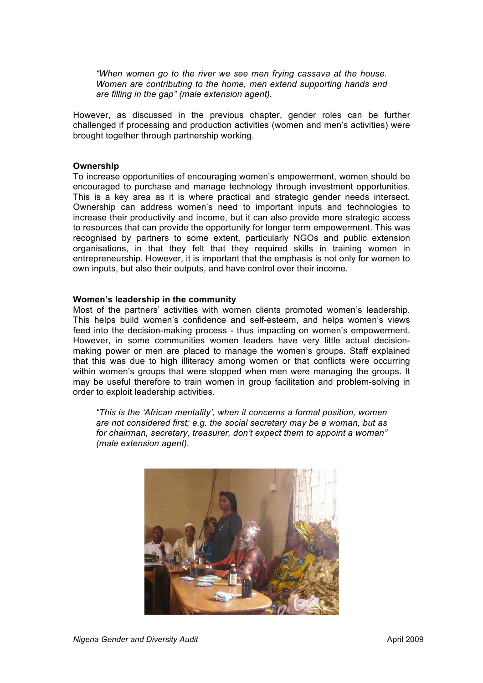*"When women go to the river we see men frying cassava at the house. Women are contributing to the home, men extend supporting hands and are filling in the gap" (male extension agent).*

However, as discussed in the previous chapter, gender roles can be further challenged if processing and production activities (women and men's activities) were brought together through partnership working.

#### **Ownership**

To increase opportunities of encouraging women's empowerment, women should be encouraged to purchase and manage technology through investment opportunities. This is a key area as it is where practical and strategic gender needs intersect. Ownership can address women's need to important inputs and technologies to increase their productivity and income, but it can also provide more strategic access to resources that can provide the opportunity for longer term empowerment. This was recognised by partners to some extent, particularly NGOs and public extension organisations, in that they felt that they required skills in training women in entrepreneurship. However, it is important that the emphasis is not only for women to own inputs, but also their outputs, and have control over their income.

#### **Women's leadership in the community**

Most of the partners' activities with women clients promoted women's leadership. This helps build women's confidence and self-esteem, and helps women's views feed into the decision-making process - thus impacting on women's empowerment. However, in some communities women leaders have very little actual decisionmaking power or men are placed to manage the women's groups. Staff explained that this was due to high illiteracy among women or that conflicts were occurring within women's groups that were stopped when men were managing the groups. It may be useful therefore to train women in group facilitation and problem-solving in order to exploit leadership activities.

*"This is the 'African mentality', when it concerns a formal position, women are not considered first; e.g. the social secretary may be a woman, but as for chairman, secretary, treasurer, don't expect them to appoint a woman" (male extension agent).*

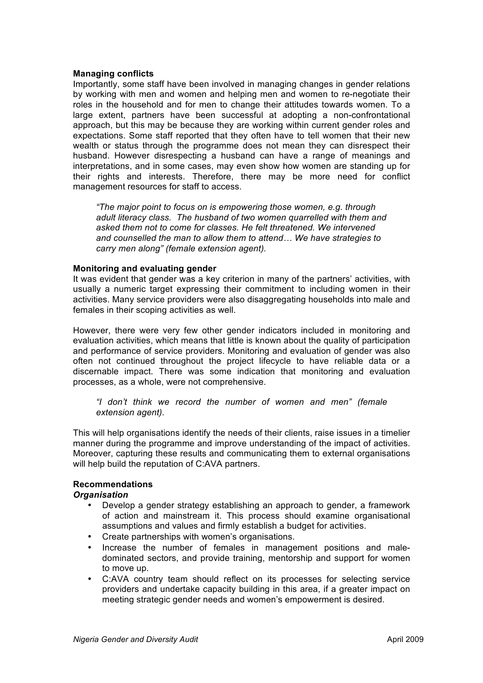#### **Managing conflicts**

Importantly, some staff have been involved in managing changes in gender relations by working with men and women and helping men and women to re-negotiate their roles in the household and for men to change their attitudes towards women. To a large extent, partners have been successful at adopting a non-confrontational approach, but this may be because they are working within current gender roles and expectations. Some staff reported that they often have to tell women that their new wealth or status through the programme does not mean they can disrespect their husband. However disrespecting a husband can have a range of meanings and interpretations, and in some cases, may even show how women are standing up for their rights and interests. Therefore, there may be more need for conflict management resources for staff to access.

*"The major point to focus on is empowering those women, e.g. through adult literacy class. The husband of two women quarrelled with them and asked them not to come for classes. He felt threatened. We intervened and counselled the man to allow them to attend… We have strategies to carry men along" (female extension agent).* 

#### **Monitoring and evaluating gender**

It was evident that gender was a key criterion in many of the partners' activities, with usually a numeric target expressing their commitment to including women in their activities. Many service providers were also disaggregating households into male and females in their scoping activities as well.

However, there were very few other gender indicators included in monitoring and evaluation activities, which means that little is known about the quality of participation and performance of service providers. Monitoring and evaluation of gender was also often not continued throughout the project lifecycle to have reliable data or a discernable impact. There was some indication that monitoring and evaluation processes, as a whole, were not comprehensive.

*"I don't think we record the number of women and men" (female extension agent).*

This will help organisations identify the needs of their clients, raise issues in a timelier manner during the programme and improve understanding of the impact of activities. Moreover, capturing these results and communicating them to external organisations will help build the reputation of C:AVA partners.

#### **Recommendations**

#### *Organisation*

- Develop a gender strategy establishing an approach to gender, a framework of action and mainstream it. This process should examine organisational assumptions and values and firmly establish a budget for activities.
- Create partnerships with women's organisations.
- Increase the number of females in management positions and maledominated sectors, and provide training, mentorship and support for women to move up.
- C:AVA country team should reflect on its processes for selecting service providers and undertake capacity building in this area, if a greater impact on meeting strategic gender needs and women's empowerment is desired.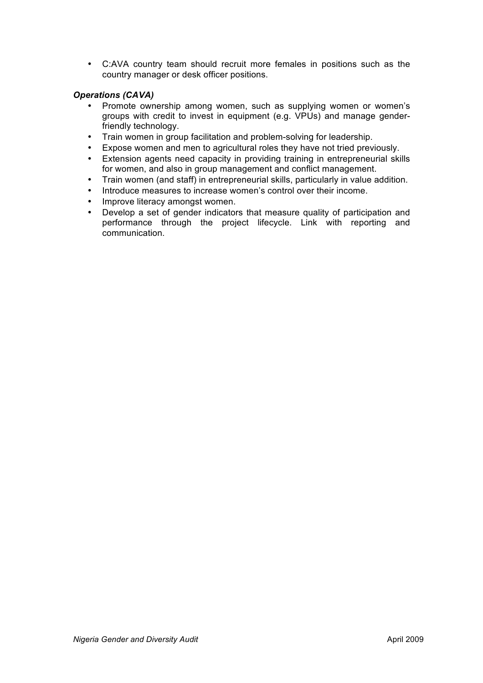• C:AVA country team should recruit more females in positions such as the country manager or desk officer positions.

#### *Operations (CAVA)*

- Promote ownership among women, such as supplying women or women's groups with credit to invest in equipment (e.g. VPUs) and manage genderfriendly technology.
- Train women in group facilitation and problem-solving for leadership.
- Expose women and men to agricultural roles they have not tried previously.
- Extension agents need capacity in providing training in entrepreneurial skills for women, and also in group management and conflict management.
- Train women (and staff) in entrepreneurial skills, particularly in value addition.
- Introduce measures to increase women's control over their income.
- Improve literacy amongst women.
- Develop a set of gender indicators that measure quality of participation and performance through the project lifecycle. Link with reporting and communication.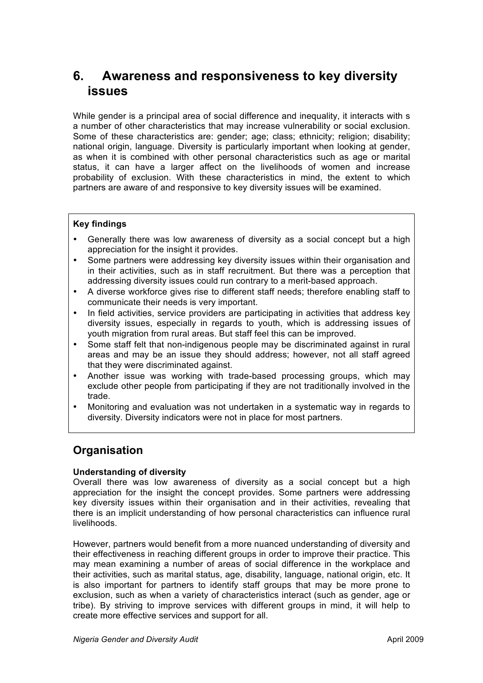## **6. Awareness and responsiveness to key diversity issues**

While gender is a principal area of social difference and inequality, it interacts with s a number of other characteristics that may increase vulnerability or social exclusion. Some of these characteristics are: gender; age; class; ethnicity; religion; disability; national origin, language. Diversity is particularly important when looking at gender, as when it is combined with other personal characteristics such as age or marital status, it can have a larger affect on the livelihoods of women and increase probability of exclusion. With these characteristics in mind, the extent to which partners are aware of and responsive to key diversity issues will be examined.

#### **Key findings**

- Generally there was low awareness of diversity as a social concept but a high appreciation for the insight it provides.
- Some partners were addressing key diversity issues within their organisation and in their activities, such as in staff recruitment. But there was a perception that addressing diversity issues could run contrary to a merit-based approach.
- A diverse workforce gives rise to different staff needs; therefore enabling staff to communicate their needs is very important.
- In field activities, service providers are participating in activities that address key diversity issues, especially in regards to youth, which is addressing issues of youth migration from rural areas. But staff feel this can be improved.
- Some staff felt that non-indigenous people may be discriminated against in rural areas and may be an issue they should address; however, not all staff agreed that they were discriminated against.
- Another issue was working with trade-based processing groups, which may exclude other people from participating if they are not traditionally involved in the trade.
- Monitoring and evaluation was not undertaken in a systematic way in regards to diversity. Diversity indicators were not in place for most partners.

### **Organisation**

#### **Understanding of diversity**

Overall there was low awareness of diversity as a social concept but a high appreciation for the insight the concept provides. Some partners were addressing key diversity issues within their organisation and in their activities, revealing that there is an implicit understanding of how personal characteristics can influence rural livelihoods.

However, partners would benefit from a more nuanced understanding of diversity and their effectiveness in reaching different groups in order to improve their practice. This may mean examining a number of areas of social difference in the workplace and their activities, such as marital status, age, disability, language, national origin, etc. It is also important for partners to identify staff groups that may be more prone to exclusion, such as when a variety of characteristics interact (such as gender, age or tribe). By striving to improve services with different groups in mind, it will help to create more effective services and support for all.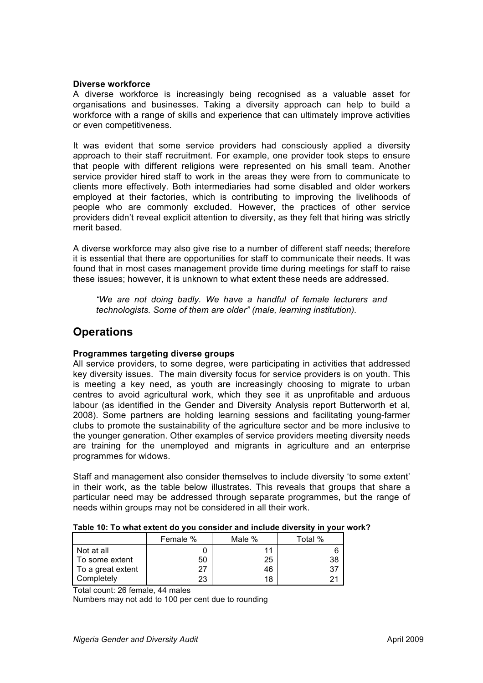#### **Diverse workforce**

A diverse workforce is increasingly being recognised as a valuable asset for organisations and businesses. Taking a diversity approach can help to build a workforce with a range of skills and experience that can ultimately improve activities or even competitiveness.

It was evident that some service providers had consciously applied a diversity approach to their staff recruitment. For example, one provider took steps to ensure that people with different religions were represented on his small team. Another service provider hired staff to work in the areas they were from to communicate to clients more effectively. Both intermediaries had some disabled and older workers employed at their factories, which is contributing to improving the livelihoods of people who are commonly excluded. However, the practices of other service providers didn't reveal explicit attention to diversity, as they felt that hiring was strictly merit based.

A diverse workforce may also give rise to a number of different staff needs; therefore it is essential that there are opportunities for staff to communicate their needs. It was found that in most cases management provide time during meetings for staff to raise these issues; however, it is unknown to what extent these needs are addressed.

*"We are not doing badly. We have a handful of female lecturers and technologists. Some of them are older" (male, learning institution).*

### **Operations**

#### **Programmes targeting diverse groups**

All service providers, to some degree, were participating in activities that addressed key diversity issues. The main diversity focus for service providers is on youth. This is meeting a key need, as youth are increasingly choosing to migrate to urban centres to avoid agricultural work, which they see it as unprofitable and arduous labour (as identified in the Gender and Diversity Analysis report Butterworth et al, 2008). Some partners are holding learning sessions and facilitating young-farmer clubs to promote the sustainability of the agriculture sector and be more inclusive to the younger generation. Other examples of service providers meeting diversity needs are training for the unemployed and migrants in agriculture and an enterprise programmes for widows.

Staff and management also consider themselves to include diversity 'to some extent' in their work, as the table below illustrates. This reveals that groups that share a particular need may be addressed through separate programmes, but the range of needs within groups may not be considered in all their work.

|                   | Female % | Male % | Total % |
|-------------------|----------|--------|---------|
| Not at all        |          | 11     | 6       |
| To some extent    | 50       | 25     | 38      |
| To a great extent | 27       | 46     |         |
| Completely        | 23       | 18     | つ1      |

| Table 10: To what extent do you consider and include diversity in your work? |  |
|------------------------------------------------------------------------------|--|
|                                                                              |  |

Total count: 26 female, 44 males

Numbers may not add to 100 per cent due to rounding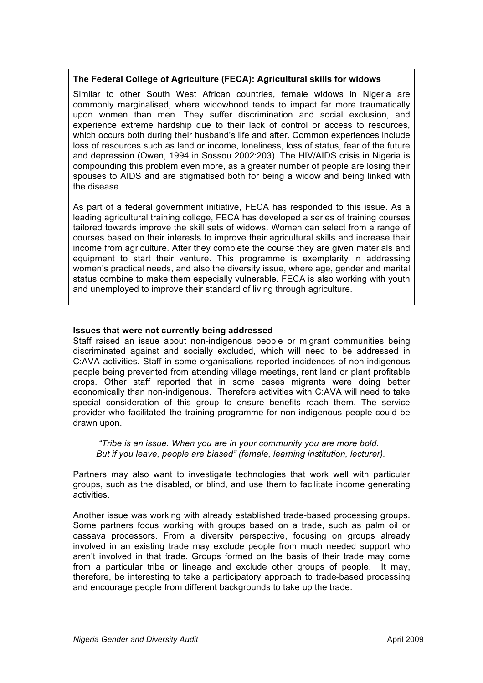#### **The Federal College of Agriculture (FECA): Agricultural skills for widows**

Similar to other South West African countries, female widows in Nigeria are commonly marginalised, where widowhood tends to impact far more traumatically upon women than men. They suffer discrimination and social exclusion, and experience extreme hardship due to their lack of control or access to resources, which occurs both during their husband's life and after. Common experiences include loss of resources such as land or income, loneliness, loss of status, fear of the future and depression (Owen, 1994 in Sossou 2002:203). The HIV/AIDS crisis in Nigeria is compounding this problem even more, as a greater number of people are losing their spouses to AIDS and are stigmatised both for being a widow and being linked with the disease.

As part of a federal government initiative, FECA has responded to this issue. As a leading agricultural training college, FECA has developed a series of training courses tailored towards improve the skill sets of widows. Women can select from a range of courses based on their interests to improve their agricultural skills and increase their income from agriculture. After they complete the course they are given materials and equipment to start their venture. This programme is exemplarity in addressing women's practical needs, and also the diversity issue, where age, gender and marital status combine to make them especially vulnerable. FECA is also working with youth and unemployed to improve their standard of living through agriculture.

#### **Issues that were not currently being addressed**

Staff raised an issue about non-indigenous people or migrant communities being discriminated against and socially excluded, which will need to be addressed in C:AVA activities. Staff in some organisations reported incidences of non-indigenous people being prevented from attending village meetings, rent land or plant profitable crops. Other staff reported that in some cases migrants were doing better economically than non-indigenous. Therefore activities with C:AVA will need to take special consideration of this group to ensure benefits reach them. The service provider who facilitated the training programme for non indigenous people could be drawn upon.

*"Tribe is an issue. When you are in your community you are more bold. But if you leave, people are biased" (female, learning institution, lecturer).* 

Partners may also want to investigate technologies that work well with particular groups, such as the disabled, or blind, and use them to facilitate income generating activities.

Another issue was working with already established trade-based processing groups. Some partners focus working with groups based on a trade, such as palm oil or cassava processors. From a diversity perspective, focusing on groups already involved in an existing trade may exclude people from much needed support who aren't involved in that trade. Groups formed on the basis of their trade may come from a particular tribe or lineage and exclude other groups of people. It may, therefore, be interesting to take a participatory approach to trade-based processing and encourage people from different backgrounds to take up the trade.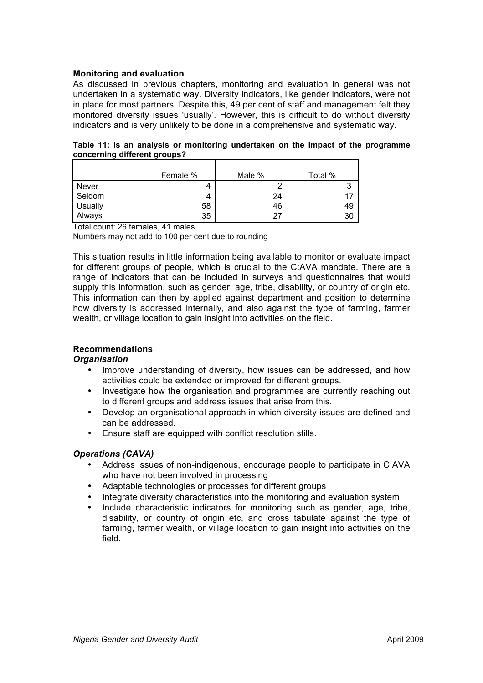#### **Monitoring and evaluation**

As discussed in previous chapters, monitoring and evaluation in general was not undertaken in a systematic way. Diversity indicators, like gender indicators, were not in place for most partners. Despite this, 49 per cent of staff and management felt they monitored diversity issues 'usually'. However, this is difficult to do without diversity indicators and is very unlikely to be done in a comprehensive and systematic way.

**Table 11: Is an analysis or monitoring undertaken on the impact of the programme concerning different groups?** 

|         | Female % | Male % | Total % |
|---------|----------|--------|---------|
| Never   |          | ←      | 3       |
| Seldom  |          | 24     | 17      |
| Usually | 58       | 46     | 49      |
| Always  | 35       | 27     | 30      |

Total count: 26 females, 41 males

Numbers may not add to 100 per cent due to rounding

This situation results in little information being available to monitor or evaluate impact for different groups of people, which is crucial to the C:AVA mandate. There are a range of indicators that can be included in surveys and questionnaires that would supply this information, such as gender, age, tribe, disability, or country of origin etc. This information can then by applied against department and position to determine how diversity is addressed internally, and also against the type of farming, farmer wealth, or village location to gain insight into activities on the field.

#### **Recommendations**

#### *Organisation*

- Improve understanding of diversity, how issues can be addressed, and how activities could be extended or improved for different groups.
- Investigate how the organisation and programmes are currently reaching out to different groups and address issues that arise from this.
- Develop an organisational approach in which diversity issues are defined and can be addressed.
- Ensure staff are equipped with conflict resolution stills.

#### *Operations (CAVA)*

- Address issues of non-indigenous, encourage people to participate in C:AVA who have not been involved in processing
- Adaptable technologies or processes for different groups
- Integrate diversity characteristics into the monitoring and evaluation system
- Include characteristic indicators for monitoring such as gender, age, tribe, disability, or country of origin etc, and cross tabulate against the type of farming, farmer wealth, or village location to gain insight into activities on the field.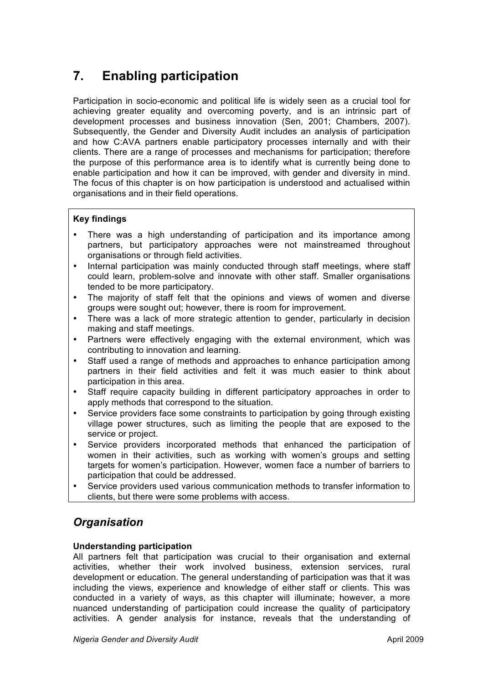## **7. Enabling participation**

Participation in socio-economic and political life is widely seen as a crucial tool for achieving greater equality and overcoming poverty, and is an intrinsic part of development processes and business innovation (Sen, 2001; Chambers, 2007). Subsequently, the Gender and Diversity Audit includes an analysis of participation and how C:AVA partners enable participatory processes internally and with their clients. There are a range of processes and mechanisms for participation; therefore the purpose of this performance area is to identify what is currently being done to enable participation and how it can be improved, with gender and diversity in mind. The focus of this chapter is on how participation is understood and actualised within organisations and in their field operations.

### **Key findings**

- There was a high understanding of participation and its importance among partners, but participatory approaches were not mainstreamed throughout organisations or through field activities.
- Internal participation was mainly conducted through staff meetings, where staff could learn, problem-solve and innovate with other staff. Smaller organisations tended to be more participatory.
- The majority of staff felt that the opinions and views of women and diverse groups were sought out; however, there is room for improvement.
- There was a lack of more strategic attention to gender, particularly in decision making and staff meetings.
- Partners were effectively engaging with the external environment, which was contributing to innovation and learning.
- Staff used a range of methods and approaches to enhance participation among partners in their field activities and felt it was much easier to think about participation in this area.
- Staff require capacity building in different participatory approaches in order to apply methods that correspond to the situation.
- Service providers face some constraints to participation by going through existing village power structures, such as limiting the people that are exposed to the service or project.
- Service providers incorporated methods that enhanced the participation of women in their activities, such as working with women's groups and setting targets for women's participation. However, women face a number of barriers to participation that could be addressed.
- Service providers used various communication methods to transfer information to clients, but there were some problems with access.

## *Organisation*

#### **Understanding participation**

All partners felt that participation was crucial to their organisation and external activities, whether their work involved business, extension services, rural development or education. The general understanding of participation was that it was including the views, experience and knowledge of either staff or clients. This was conducted in a variety of ways, as this chapter will illuminate; however, a more nuanced understanding of participation could increase the quality of participatory activities. A gender analysis for instance, reveals that the understanding of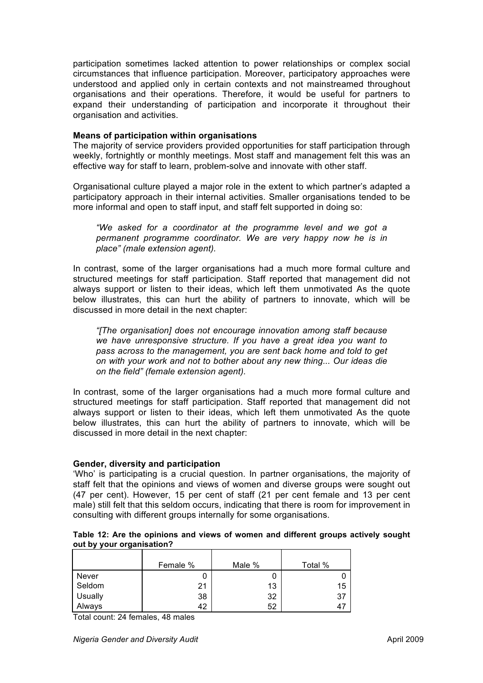participation sometimes lacked attention to power relationships or complex social circumstances that influence participation. Moreover, participatory approaches were understood and applied only in certain contexts and not mainstreamed throughout organisations and their operations. Therefore, it would be useful for partners to expand their understanding of participation and incorporate it throughout their organisation and activities.

#### **Means of participation within organisations**

The majority of service providers provided opportunities for staff participation through weekly, fortnightly or monthly meetings. Most staff and management felt this was an effective way for staff to learn, problem-solve and innovate with other staff.

Organisational culture played a major role in the extent to which partner's adapted a participatory approach in their internal activities. Smaller organisations tended to be more informal and open to staff input, and staff felt supported in doing so:

*"We asked for a coordinator at the programme level and we got a permanent programme coordinator. We are very happy now he is in place" (male extension agent).* 

In contrast, some of the larger organisations had a much more formal culture and structured meetings for staff participation. Staff reported that management did not always support or listen to their ideas, which left them unmotivated As the quote below illustrates, this can hurt the ability of partners to innovate, which will be discussed in more detail in the next chapter:

*"[The organisation] does not encourage innovation among staff because we have unresponsive structure. If you have a great idea you want to pass across to the management, you are sent back home and told to get on with your work and not to bother about any new thing... Our ideas die on the field" (female extension agent).*

In contrast, some of the larger organisations had a much more formal culture and structured meetings for staff participation. Staff reported that management did not always support or listen to their ideas, which left them unmotivated As the quote below illustrates, this can hurt the ability of partners to innovate, which will be discussed in more detail in the next chapter:

#### **Gender, diversity and participation**

'Who' is participating is a crucial question. In partner organisations, the majority of staff felt that the opinions and views of women and diverse groups were sought out (47 per cent). However, 15 per cent of staff (21 per cent female and 13 per cent male) still felt that this seldom occurs, indicating that there is room for improvement in consulting with different groups internally for some organisations.

#### **Table 12: Are the opinions and views of women and different groups actively sought out by your organisation?**

|         | Female % | Male % | Total % |
|---------|----------|--------|---------|
| Never   |          |        |         |
| Seldom  | 21       | 13     | 15      |
| Usually | 38       | 32     | 37      |
| Always  | 42       | 52     | 47      |

Total count: 24 females, 48 males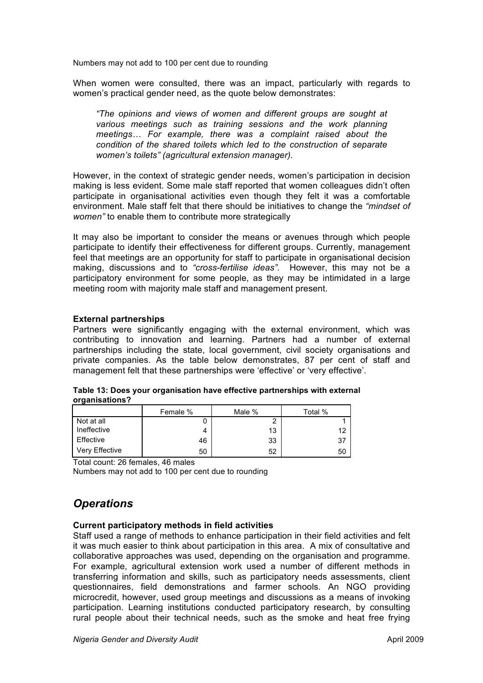Numbers may not add to 100 per cent due to rounding

When women were consulted, there was an impact, particularly with regards to women's practical gender need, as the quote below demonstrates:

*"The opinions and views of women and different groups are sought at various meetings such as training sessions and the work planning meetings… For example, there was a complaint raised about the condition of the shared toilets which led to the construction of separate women's toilets" (agricultural extension manager).*

However, in the context of strategic gender needs, women's participation in decision making is less evident. Some male staff reported that women colleagues didn't often participate in organisational activities even though they felt it was a comfortable environment. Male staff felt that there should be initiatives to change the *"mindset of women"* to enable them to contribute more strategically

It may also be important to consider the means or avenues through which people participate to identify their effectiveness for different groups. Currently, management feel that meetings are an opportunity for staff to participate in organisational decision making, discussions and to *"cross-fertilise ideas".* However, this may not be a participatory environment for some people, as they may be intimidated in a large meeting room with majority male staff and management present.

#### **External partnerships**

Partners were significantly engaging with the external environment, which was contributing to innovation and learning. Partners had a number of external partnerships including the state, local government, civil society organisations and private companies. As the table below demonstrates, 87 per cent of staff and management felt that these partnerships were 'effective' or 'very effective'.

| . .            |          |        |         |
|----------------|----------|--------|---------|
|                | Female % | Male % | Total % |
| Not at all     |          | ◠      |         |
| Ineffective    | 4        | 13     | 12      |
| Effective      | 46       | 33     | -37     |
| Very Effective | 50       | 52     | 50      |

**Table 13: Does your organisation have effective partnerships with external organisations?**

Total count: 26 females, 46 males

Numbers may not add to 100 per cent due to rounding

### *Operations*

#### **Current participatory methods in field activities**

Staff used a range of methods to enhance participation in their field activities and felt it was much easier to think about participation in this area. A mix of consultative and collaborative approaches was used, depending on the organisation and programme. For example, agricultural extension work used a number of different methods in transferring information and skills, such as participatory needs assessments, client questionnaires, field demonstrations and farmer schools. An NGO providing microcredit, however, used group meetings and discussions as a means of invoking participation. Learning institutions conducted participatory research, by consulting rural people about their technical needs, such as the smoke and heat free frying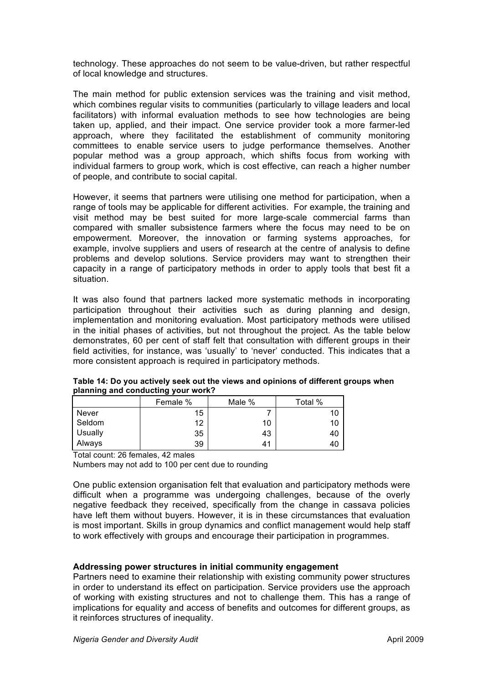technology. These approaches do not seem to be value-driven, but rather respectful of local knowledge and structures.

The main method for public extension services was the training and visit method, which combines regular visits to communities (particularly to village leaders and local facilitators) with informal evaluation methods to see how technologies are being taken up, applied, and their impact. One service provider took a more farmer-led approach, where they facilitated the establishment of community monitoring committees to enable service users to judge performance themselves. Another popular method was a group approach, which shifts focus from working with individual farmers to group work, which is cost effective, can reach a higher number of people, and contribute to social capital.

However, it seems that partners were utilising one method for participation, when a range of tools may be applicable for different activities. For example, the training and visit method may be best suited for more large-scale commercial farms than compared with smaller subsistence farmers where the focus may need to be on empowerment. Moreover, the innovation or farming systems approaches, for example, involve suppliers and users of research at the centre of analysis to define problems and develop solutions. Service providers may want to strengthen their capacity in a range of participatory methods in order to apply tools that best fit a situation.

It was also found that partners lacked more systematic methods in incorporating participation throughout their activities such as during planning and design, implementation and monitoring evaluation. Most participatory methods were utilised in the initial phases of activities, but not throughout the project. As the table below demonstrates, 60 per cent of staff felt that consultation with different groups in their field activities, for instance, was 'usually' to 'never' conducted. This indicates that a more consistent approach is required in participatory methods.

| planning and conducting your work. |          |        |         |
|------------------------------------|----------|--------|---------|
|                                    | Female % | Male % | Total % |
| <b>Never</b>                       | 15       |        | 10      |
| Seldom                             | 12       | 10     | 10      |
| Usually                            | 35       | 43     | 40      |
| Always                             | 39       | 41     | 40      |

**Table 14: Do you actively seek out the views and opinions of different groups when planning and conducting your work?**

Total count: 26 females, 42 males

Numbers may not add to 100 per cent due to rounding

One public extension organisation felt that evaluation and participatory methods were difficult when a programme was undergoing challenges, because of the overly negative feedback they received, specifically from the change in cassava policies have left them without buyers. However, it is in these circumstances that evaluation is most important. Skills in group dynamics and conflict management would help staff to work effectively with groups and encourage their participation in programmes.

#### **Addressing power structures in initial community engagement**

Partners need to examine their relationship with existing community power structures in order to understand its effect on participation. Service providers use the approach of working with existing structures and not to challenge them. This has a range of implications for equality and access of benefits and outcomes for different groups, as it reinforces structures of inequality.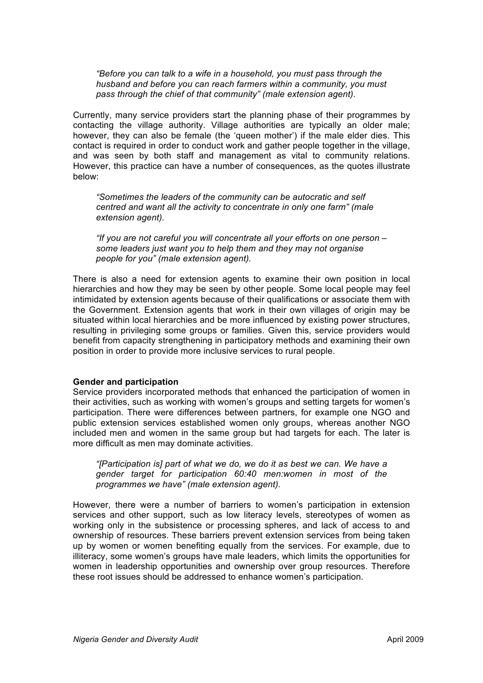*"Before you can talk to a wife in a household, you must pass through the husband and before you can reach farmers within a community, you must pass through the chief of that community" (male extension agent).*

Currently, many service providers start the planning phase of their programmes by contacting the village authority. Village authorities are typically an older male; however, they can also be female (the 'queen mother') if the male elder dies. This contact is required in order to conduct work and gather people together in the village, and was seen by both staff and management as vital to community relations. However, this practice can have a number of consequences, as the quotes illustrate below:

*"Sometimes the leaders of the community can be autocratic and self centred and want all the activity to concentrate in only one farm" (male extension agent).*

*"If you are not careful you will concentrate all your efforts on one person – some leaders just want you to help them and they may not organise people for you" (male extension agent).*

There is also a need for extension agents to examine their own position in local hierarchies and how they may be seen by other people. Some local people may feel intimidated by extension agents because of their qualifications or associate them with the Government. Extension agents that work in their own villages of origin may be situated within local hierarchies and be more influenced by existing power structures, resulting in privileging some groups or families. Given this, service providers would benefit from capacity strengthening in participatory methods and examining their own position in order to provide more inclusive services to rural people.

#### **Gender and participation**

Service providers incorporated methods that enhanced the participation of women in their activities, such as working with women's groups and setting targets for women's participation. There were differences between partners, for example one NGO and public extension services established women only groups, whereas another NGO included men and women in the same group but had targets for each. The later is more difficult as men may dominate activities.

*"[Participation is] part of what we do, we do it as best we can. We have a gender target for participation 60:40 men:women in most of the programmes we have" (male extension agent).*

However, there were a number of barriers to women's participation in extension services and other support, such as low literacy levels, stereotypes of women as working only in the subsistence or processing spheres, and lack of access to and ownership of resources. These barriers prevent extension services from being taken up by women or women benefiting equally from the services. For example, due to illiteracy, some women's groups have male leaders, which limits the opportunities for women in leadership opportunities and ownership over group resources. Therefore these root issues should be addressed to enhance women's participation.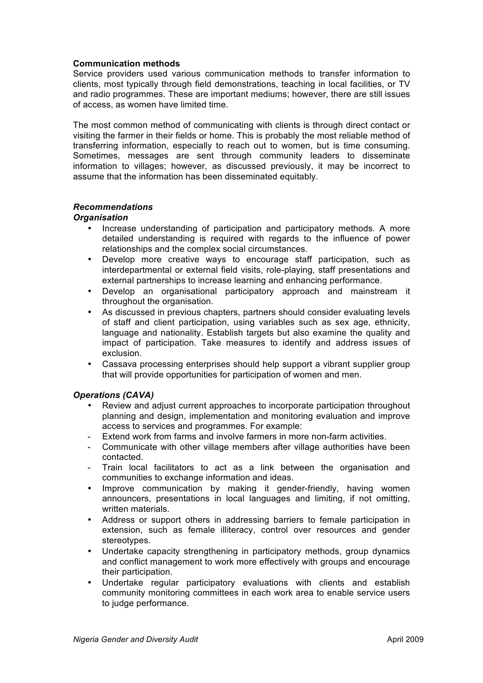#### **Communication methods**

Service providers used various communication methods to transfer information to clients, most typically through field demonstrations, teaching in local facilities, or TV and radio programmes. These are important mediums; however, there are still issues of access, as women have limited time.

The most common method of communicating with clients is through direct contact or visiting the farmer in their fields or home. This is probably the most reliable method of transferring information, especially to reach out to women, but is time consuming. Sometimes, messages are sent through community leaders to disseminate information to villages; however, as discussed previously, it may be incorrect to assume that the information has been disseminated equitably.

#### *Recommendations*

#### *Organisation*

- Increase understanding of participation and participatory methods. A more detailed understanding is required with regards to the influence of power relationships and the complex social circumstances.
- Develop more creative ways to encourage staff participation, such as interdepartmental or external field visits, role-playing, staff presentations and external partnerships to increase learning and enhancing performance.
- Develop an organisational participatory approach and mainstream it throughout the organisation.
- As discussed in previous chapters, partners should consider evaluating levels of staff and client participation, using variables such as sex age, ethnicity, language and nationality. Establish targets but also examine the quality and impact of participation. Take measures to identify and address issues of exclusion.
- Cassava processing enterprises should help support a vibrant supplier group that will provide opportunities for participation of women and men.

#### *Operations (CAVA)*

- Review and adjust current approaches to incorporate participation throughout planning and design, implementation and monitoring evaluation and improve access to services and programmes. For example:
- Extend work from farms and involve farmers in more non-farm activities.
- Communicate with other village members after village authorities have been contacted.
- Train local facilitators to act as a link between the organisation and communities to exchange information and ideas.
- Improve communication by making it gender-friendly, having women announcers, presentations in local languages and limiting, if not omitting, written materials.
- Address or support others in addressing barriers to female participation in extension, such as female illiteracy, control over resources and gender stereotypes.
- Undertake capacity strengthening in participatory methods, group dynamics and conflict management to work more effectively with groups and encourage their participation.
- Undertake regular participatory evaluations with clients and establish community monitoring committees in each work area to enable service users to judge performance.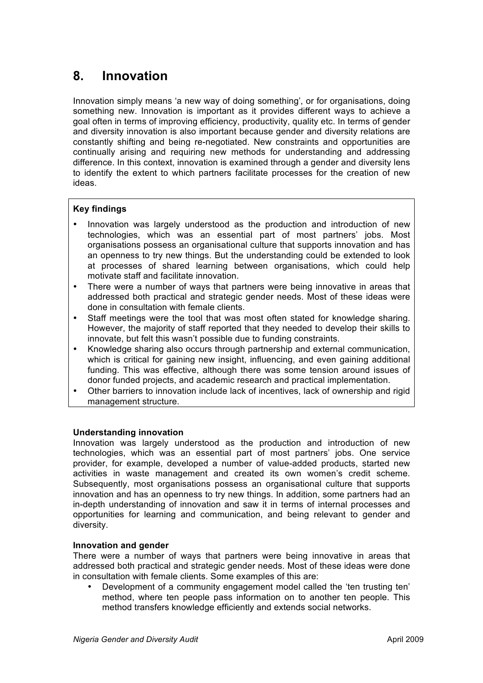## **8. Innovation**

Innovation simply means 'a new way of doing something', or for organisations, doing something new. Innovation is important as it provides different ways to achieve a goal often in terms of improving efficiency, productivity, quality etc. In terms of gender and diversity innovation is also important because gender and diversity relations are constantly shifting and being re-negotiated. New constraints and opportunities are continually arising and requiring new methods for understanding and addressing difference. In this context, innovation is examined through a gender and diversity lens to identify the extent to which partners facilitate processes for the creation of new ideas.

#### **Key findings**

- Innovation was largely understood as the production and introduction of new technologies, which was an essential part of most partners' jobs. Most organisations possess an organisational culture that supports innovation and has an openness to try new things. But the understanding could be extended to look at processes of shared learning between organisations, which could help motivate staff and facilitate innovation.
- There were a number of ways that partners were being innovative in areas that addressed both practical and strategic gender needs. Most of these ideas were done in consultation with female clients.
- Staff meetings were the tool that was most often stated for knowledge sharing. However, the majority of staff reported that they needed to develop their skills to innovate, but felt this wasn't possible due to funding constraints.
- Knowledge sharing also occurs through partnership and external communication, which is critical for gaining new insight, influencing, and even gaining additional funding. This was effective, although there was some tension around issues of donor funded projects, and academic research and practical implementation.
- Other barriers to innovation include lack of incentives, lack of ownership and rigid management structure.

#### **Understanding innovation**

Innovation was largely understood as the production and introduction of new technologies, which was an essential part of most partners' jobs. One service provider, for example, developed a number of value-added products, started new activities in waste management and created its own women's credit scheme. Subsequently, most organisations possess an organisational culture that supports innovation and has an openness to try new things. In addition, some partners had an in-depth understanding of innovation and saw it in terms of internal processes and opportunities for learning and communication, and being relevant to gender and diversity.

#### **Innovation and gender**

There were a number of ways that partners were being innovative in areas that addressed both practical and strategic gender needs. Most of these ideas were done in consultation with female clients. Some examples of this are:

• Development of a community engagement model called the 'ten trusting ten' method, where ten people pass information on to another ten people. This method transfers knowledge efficiently and extends social networks.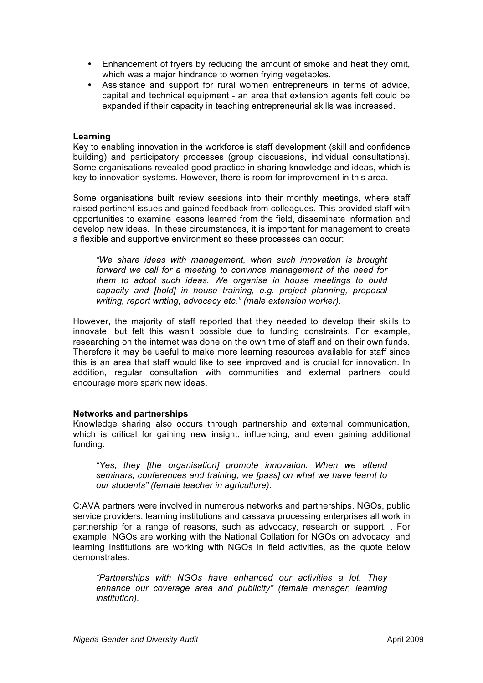- Enhancement of fryers by reducing the amount of smoke and heat they omit, which was a major hindrance to women frying vegetables.
- Assistance and support for rural women entrepreneurs in terms of advice, capital and technical equipment - an area that extension agents felt could be expanded if their capacity in teaching entrepreneurial skills was increased.

#### **Learning**

Key to enabling innovation in the workforce is staff development (skill and confidence building) and participatory processes (group discussions, individual consultations). Some organisations revealed good practice in sharing knowledge and ideas, which is key to innovation systems. However, there is room for improvement in this area.

Some organisations built review sessions into their monthly meetings, where staff raised pertinent issues and gained feedback from colleagues. This provided staff with opportunities to examine lessons learned from the field, disseminate information and develop new ideas. In these circumstances, it is important for management to create a flexible and supportive environment so these processes can occur:

*"We share ideas with management, when such innovation is brought forward we call for a meeting to convince management of the need for them to adopt such ideas. We organise in house meetings to build capacity and [hold] in house training, e.g. project planning, proposal writing, report writing, advocacy etc." (male extension worker).*

However, the majority of staff reported that they needed to develop their skills to innovate, but felt this wasn't possible due to funding constraints. For example, researching on the internet was done on the own time of staff and on their own funds. Therefore it may be useful to make more learning resources available for staff since this is an area that staff would like to see improved and is crucial for innovation. In addition, regular consultation with communities and external partners could encourage more spark new ideas.

#### **Networks and partnerships**

Knowledge sharing also occurs through partnership and external communication, which is critical for gaining new insight, influencing, and even gaining additional funding.

*"Yes, they [the organisation] promote innovation. When we attend seminars, conferences and training, we [pass] on what we have learnt to our students" (female teacher in agriculture).* 

C:AVA partners were involved in numerous networks and partnerships. NGOs, public service providers, learning institutions and cassava processing enterprises all work in partnership for a range of reasons, such as advocacy, research or support. , For example, NGOs are working with the National Collation for NGOs on advocacy, and learning institutions are working with NGOs in field activities, as the quote below demonstrates:

*"Partnerships with NGOs have enhanced our activities a lot. They enhance our coverage area and publicity" (female manager, learning institution).*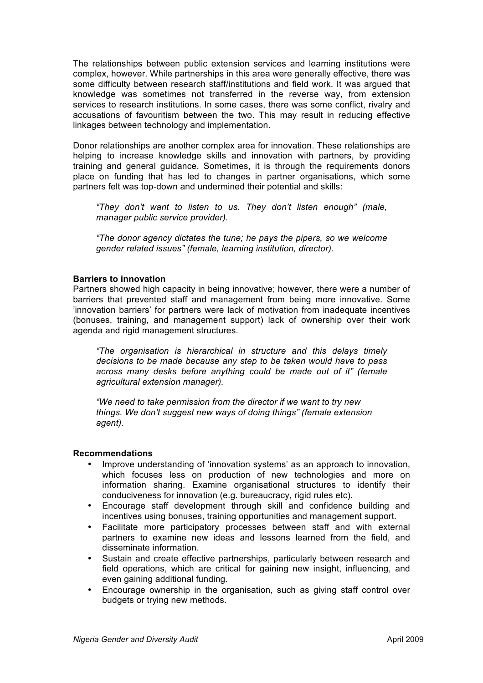The relationships between public extension services and learning institutions were complex, however. While partnerships in this area were generally effective, there was some difficulty between research staff/institutions and field work. It was argued that knowledge was sometimes not transferred in the reverse way, from extension services to research institutions. In some cases, there was some conflict, rivalry and accusations of favouritism between the two. This may result in reducing effective linkages between technology and implementation.

Donor relationships are another complex area for innovation. These relationships are helping to increase knowledge skills and innovation with partners, by providing training and general guidance. Sometimes, it is through the requirements donors place on funding that has led to changes in partner organisations, which some partners felt was top-down and undermined their potential and skills:

*"They don't want to listen to us. They don't listen enough" (male, manager public service provider).*

*"The donor agency dictates the tune; he pays the pipers, so we welcome gender related issues" (female, learning institution, director).*

#### **Barriers to innovation**

Partners showed high capacity in being innovative; however, there were a number of barriers that prevented staff and management from being more innovative. Some 'innovation barriers' for partners were lack of motivation from inadequate incentives (bonuses, training, and management support) lack of ownership over their work agenda and rigid management structures.

*"The organisation is hierarchical in structure and this delays timely decisions to be made because any step to be taken would have to pass across many desks before anything could be made out of it" (female agricultural extension manager).*

*"We need to take permission from the director if we want to try new things. We don't suggest new ways of doing things" (female extension agent).*

#### **Recommendations**

- Improve understanding of 'innovation systems' as an approach to innovation, which focuses less on production of new technologies and more on information sharing. Examine organisational structures to identify their conduciveness for innovation (e.g. bureaucracy, rigid rules etc).
- Encourage staff development through skill and confidence building and incentives using bonuses, training opportunities and management support.
- Facilitate more participatory processes between staff and with external partners to examine new ideas and lessons learned from the field, and disseminate information.
- Sustain and create effective partnerships, particularly between research and field operations, which are critical for gaining new insight, influencing, and even gaining additional funding.
- Encourage ownership in the organisation, such as giving staff control over budgets or trying new methods.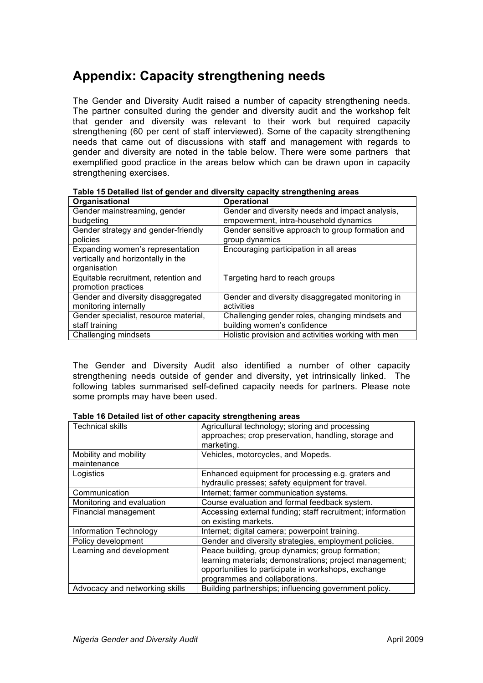## **Appendix: Capacity strengthening needs**

The Gender and Diversity Audit raised a number of capacity strengthening needs. The partner consulted during the gender and diversity audit and the workshop felt that gender and diversity was relevant to their work but required capacity strengthening (60 per cent of staff interviewed). Some of the capacity strengthening needs that came out of discussions with staff and management with regards to gender and diversity are noted in the table below. There were some partners that exemplified good practice in the areas below which can be drawn upon in capacity strengthening exercises.

| Organisational                        | <b>Operational</b>                                 |
|---------------------------------------|----------------------------------------------------|
| Gender mainstreaming, gender          | Gender and diversity needs and impact analysis,    |
| budgeting                             | empowerment, intra-household dynamics              |
| Gender strategy and gender-friendly   | Gender sensitive approach to group formation and   |
| policies                              | group dynamics                                     |
| Expanding women's representation      | Encouraging participation in all areas             |
| vertically and horizontally in the    |                                                    |
| organisation                          |                                                    |
| Equitable recruitment, retention and  | Targeting hard to reach groups                     |
| promotion practices                   |                                                    |
| Gender and diversity disaggregated    | Gender and diversity disaggregated monitoring in   |
| monitoring internally                 | activities                                         |
| Gender specialist, resource material, | Challenging gender roles, changing mindsets and    |
| staff training                        | building women's confidence                        |
| Challenging mindsets                  | Holistic provision and activities working with men |

| Table 15 Detailed list of gender and diversity capacity strengthening areas |  |  |
|-----------------------------------------------------------------------------|--|--|
|-----------------------------------------------------------------------------|--|--|

The Gender and Diversity Audit also identified a number of other capacity strengthening needs outside of gender and diversity, yet intrinsically linked. The following tables summarised self-defined capacity needs for partners. Please note some prompts may have been used.

#### **Table 16 Detailed list of other capacity strengthening areas**

| <b>Technical skills</b>        | Agricultural technology; storing and processing            |
|--------------------------------|------------------------------------------------------------|
|                                | approaches; crop preservation, handling, storage and       |
|                                | marketing.                                                 |
| Mobility and mobility          | Vehicles, motorcycles, and Mopeds.                         |
| maintenance                    |                                                            |
| Logistics                      | Enhanced equipment for processing e.g. graters and         |
|                                | hydraulic presses; safety equipment for travel.            |
| Communication                  | Internet; farmer communication systems.                    |
| Monitoring and evaluation      | Course evaluation and formal feedback system.              |
| Financial management           | Accessing external funding; staff recruitment; information |
|                                | on existing markets.                                       |
| <b>Information Technology</b>  | Internet; digital camera; powerpoint training.             |
| Policy development             | Gender and diversity strategies, employment policies.      |
| Learning and development       | Peace building, group dynamics; group formation;           |
|                                | learning materials; demonstrations; project management;    |
|                                | opportunities to participate in workshops, exchange        |
|                                | programmes and collaborations.                             |
| Advocacy and networking skills | Building partnerships; influencing government policy.      |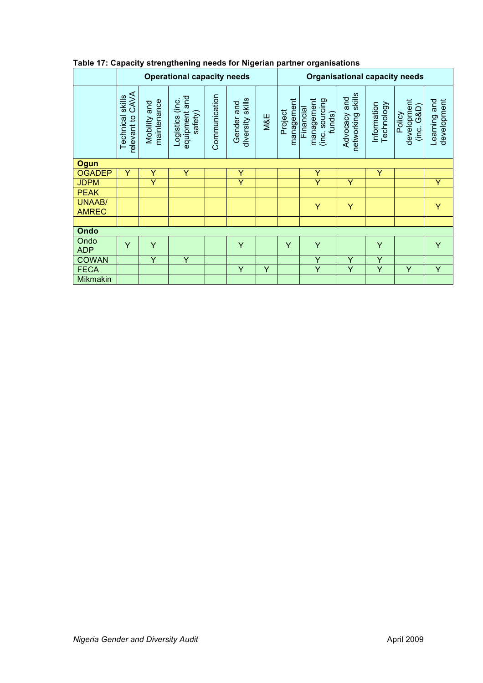|                               | <b>Operational capacity needs</b>          |                             |                                             |               |                                   |     | <b>Organisational capacity needs</b> |                                                     |                                         |                           |                                     |                             |
|-------------------------------|--------------------------------------------|-----------------------------|---------------------------------------------|---------------|-----------------------------------|-----|--------------------------------------|-----------------------------------------------------|-----------------------------------------|---------------------------|-------------------------------------|-----------------------------|
|                               | CAVA<br>skills<br>relevant to<br>Technical | maintenance<br>Mobility and | equipment and<br>Logistics (inc.<br>safety) | Communication | diversity skills<br>and<br>Gender | M&E | management<br>Project                | management<br>(inc. sourcing<br>Financial<br>funds) | skills<br>and<br>Advocacy<br>networking | Technology<br>Information | development<br>(inc. G&D)<br>Policy | development<br>Learning and |
| <b>Ogun</b>                   |                                            |                             |                                             |               |                                   |     |                                      |                                                     |                                         |                           |                                     |                             |
| <b>OGADEP</b>                 | Y                                          | Y                           | Y                                           |               | Y                                 |     |                                      | Y                                                   |                                         | Y                         |                                     |                             |
| <b>JDPM</b>                   |                                            | Y                           |                                             |               | Y                                 |     |                                      | Ÿ                                                   | Υ                                       |                           |                                     | Y                           |
| <b>PEAK</b>                   |                                            |                             |                                             |               |                                   |     |                                      |                                                     |                                         |                           |                                     |                             |
| <b>UNAAB/</b><br><b>AMREC</b> |                                            |                             |                                             |               |                                   |     |                                      | Y                                                   | Y                                       |                           |                                     | Y                           |
|                               |                                            |                             |                                             |               |                                   |     |                                      |                                                     |                                         |                           |                                     |                             |
| Ondo                          |                                            |                             |                                             |               |                                   |     |                                      |                                                     |                                         |                           |                                     |                             |
| Ondo<br><b>ADP</b>            | Ÿ                                          | Ÿ                           |                                             |               | Y                                 |     | Y                                    | Y                                                   |                                         | Y                         |                                     | Y                           |
| <b>COWAN</b>                  |                                            | Y                           | Y                                           |               |                                   |     |                                      | Y                                                   | Υ                                       | Y                         |                                     |                             |
| <b>FECA</b>                   |                                            |                             |                                             |               | Y                                 | Y   |                                      | Ÿ                                                   | Y                                       | Y                         | Y                                   | Y                           |
| <b>Mikmakin</b>               |                                            |                             |                                             |               |                                   |     |                                      |                                                     |                                         |                           |                                     |                             |

### **Table 17: Capacity strengthening needs for Nigerian partner organisations**